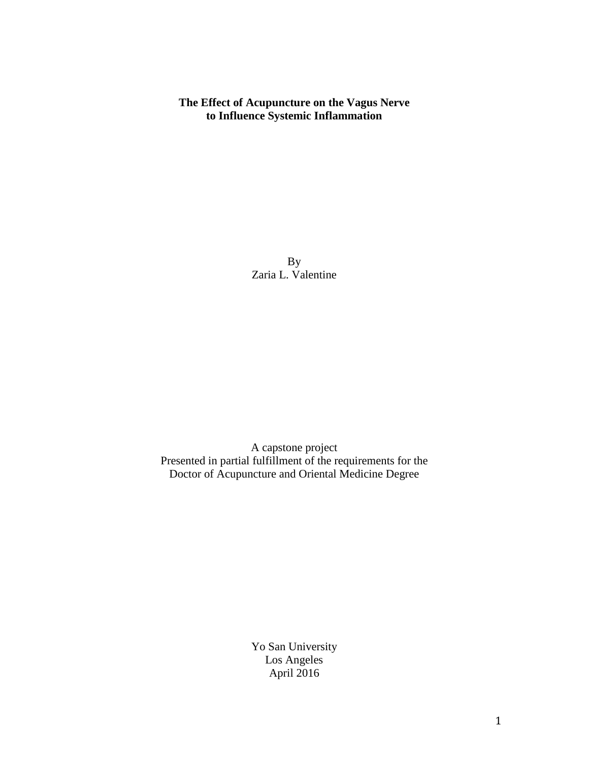### **The Effect of Acupuncture on the Vagus Nerve to Influence Systemic Inflammation**

By Zaria L. Valentine

A capstone project Presented in partial fulfillment of the requirements for the Doctor of Acupuncture and Oriental Medicine Degree

> Yo San University Los Angeles April 2016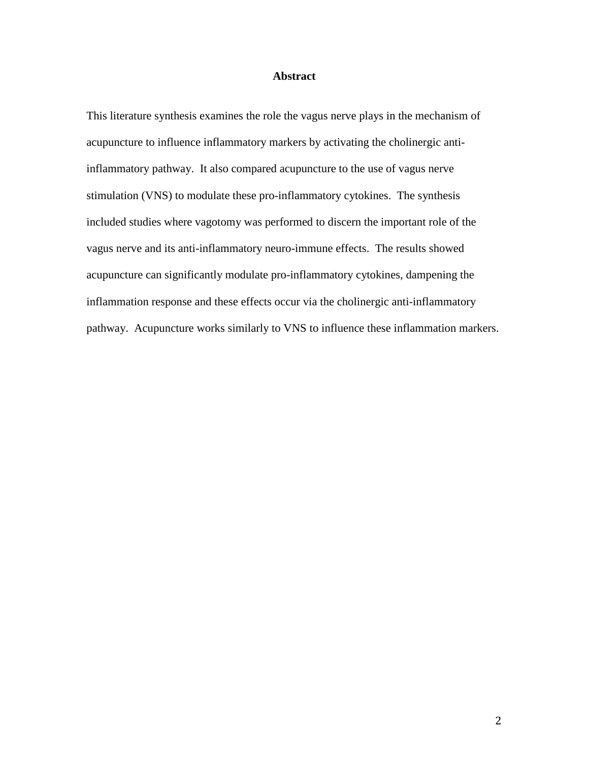#### **Abstract**

This literature synthesis examines the role the vagus nerve plays in the mechanism of acupuncture to influence inflammatory markers by activating the cholinergic antiinflammatory pathway. It also compared acupuncture to the use of vagus nerve stimulation (VNS) to modulate these pro-inflammatory cytokines. The synthesis included studies where vagotomy was performed to discern the important role of the vagus nerve and its anti-inflammatory neuro-immune effects. The results showed acupuncture can significantly modulate pro-inflammatory cytokines, dampening the inflammation response and these effects occur via the cholinergic anti-inflammatory pathway. Acupuncture works similarly to VNS to influence these inflammation markers.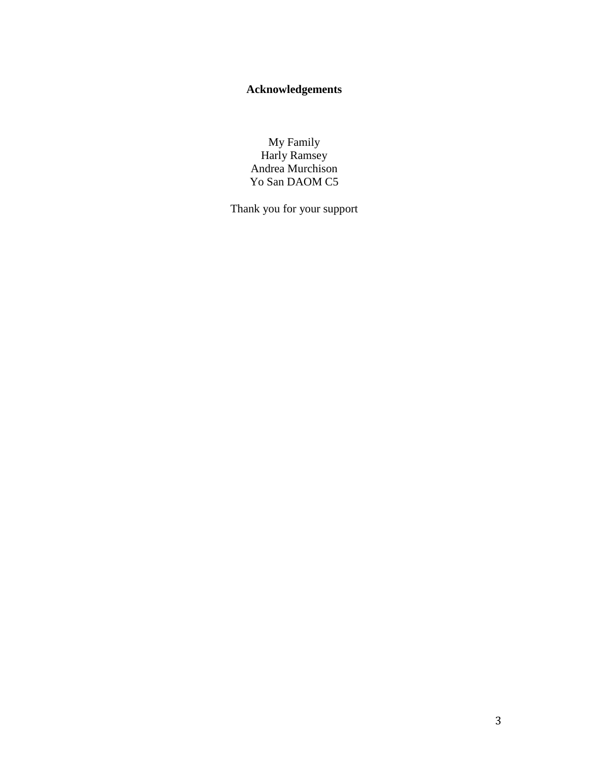# **Acknowledgements**

My Family Harly Ramsey Andrea Murchison Yo San DAOM C5

Thank you for your support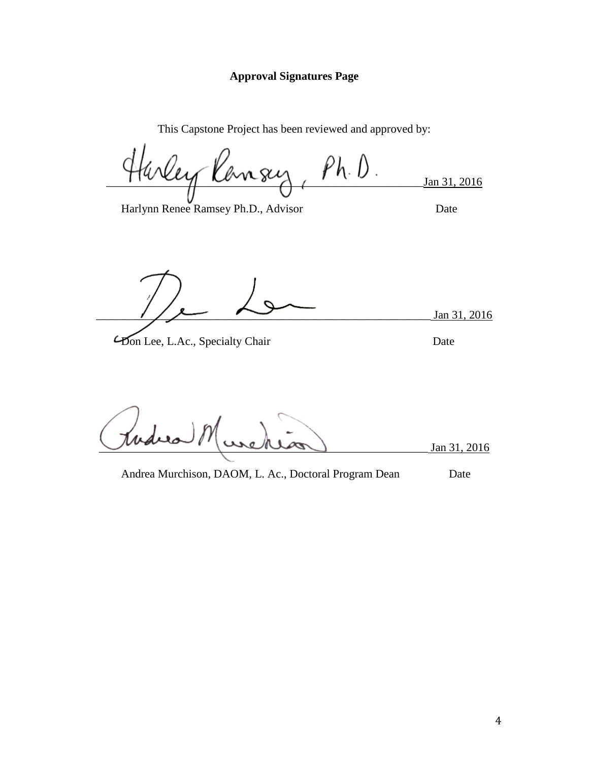### **Approval Signatures Page**

This Capstone Project has been reviewed and approved by:

 $f$ urley Ransey,  $Ph.b$ . Jan 31, 2016

Harlynn Renee Ramsey Ph.D., Advisor Date

Jan 31, 2016

**From Lee, L.Ac., Specialty Chair** Date

\_\_\_\_\_\_\_\_\_\_\_\_\_\_\_\_\_\_\_\_\_\_\_\_\_\_\_\_\_\_\_\_\_\_\_\_\_\_\_\_\_\_\_\_\_\_\_\_\_\_\_\_\_\_\_\_\_ Jan 31, 2016

Andrea Murchison, DAOM, L. Ac., Doctoral Program Dean Date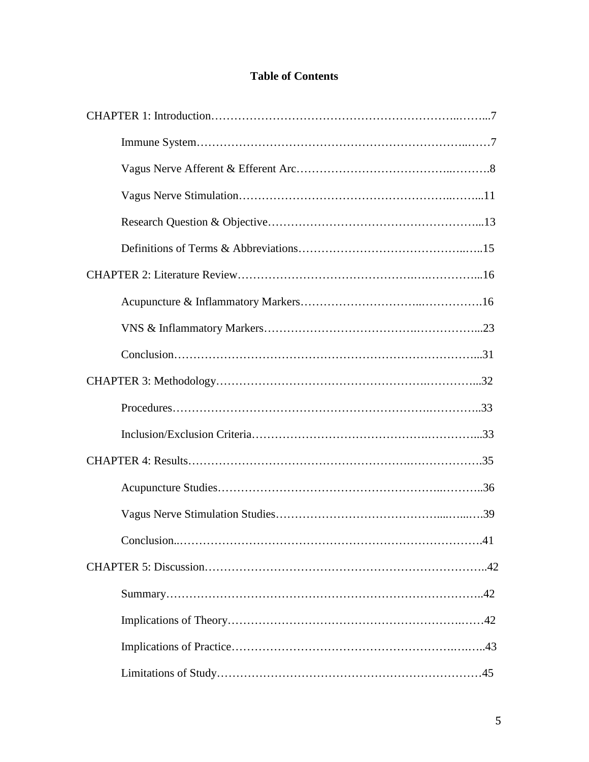## **Table of Contents**

| $\dots$ 41 |
|------------|
|            |
|            |
|            |
|            |
|            |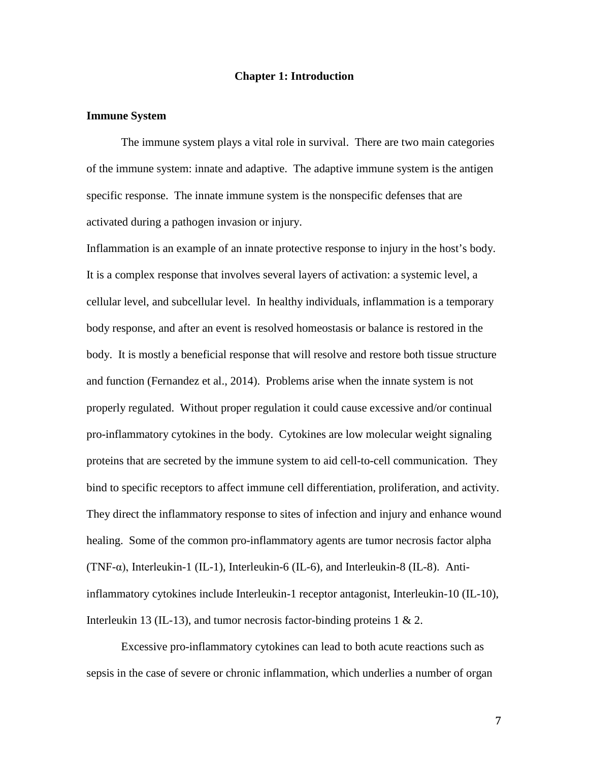#### **Chapter 1: Introduction**

#### **Immune System**

The immune system plays a vital role in survival. There are two main categories of the immune system: innate and adaptive. The adaptive immune system is the antigen specific response. The innate immune system is the nonspecific defenses that are activated during a pathogen invasion or injury.

Inflammation is an example of an innate protective response to injury in the host's body. It is a complex response that involves several layers of activation: a systemic level, a cellular level, and subcellular level. In healthy individuals, inflammation is a temporary body response, and after an event is resolved homeostasis or balance is restored in the body. It is mostly a beneficial response that will resolve and restore both tissue structure and function (Fernandez et al., 2014). Problems arise when the innate system is not properly regulated. Without proper regulation it could cause excessive and/or continual pro-inflammatory cytokines in the body. Cytokines are low molecular weight signaling proteins that are secreted by the immune system to aid cell-to-cell communication. They bind to specific receptors to affect immune cell differentiation, proliferation, and activity. They direct the inflammatory response to sites of infection and injury and enhance wound healing. Some of the common pro-inflammatory agents are tumor necrosis factor alpha (TNF-α), Interleukin-1 (IL-1), Interleukin-6 (IL-6), and Interleukin-8 (IL-8). Antiinflammatory cytokines include Interleukin-1 receptor antagonist, Interleukin-10 (IL-10), Interleukin 13 (IL-13), and tumor necrosis factor-binding proteins  $1 \& 2$ .

Excessive pro-inflammatory cytokines can lead to both acute reactions such as sepsis in the case of severe or chronic inflammation, which underlies a number of organ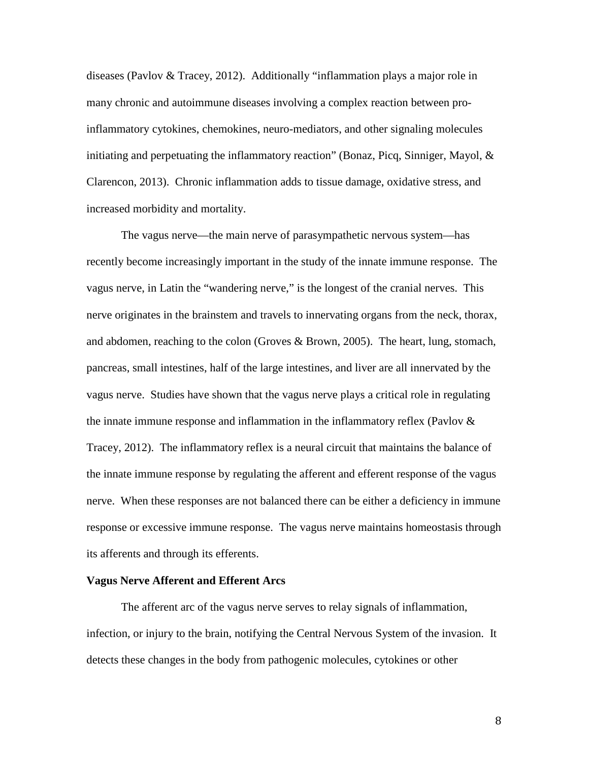diseases (Pavlov & Tracey, 2012). Additionally "inflammation plays a major role in many chronic and autoimmune diseases involving a complex reaction between proinflammatory cytokines, chemokines, neuro-mediators, and other signaling molecules initiating and perpetuating the inflammatory reaction" (Bonaz, Picq, Sinniger, Mayol,  $\&$ Clarencon, 2013). Chronic inflammation adds to tissue damage, oxidative stress, and increased morbidity and mortality.

The vagus nerve—the main nerve of parasympathetic nervous system—has recently become increasingly important in the study of the innate immune response. The vagus nerve, in Latin the "wandering nerve," is the longest of the cranial nerves. This nerve originates in the brainstem and travels to innervating organs from the neck, thorax, and abdomen, reaching to the colon (Groves & Brown, 2005). The heart, lung, stomach, pancreas, small intestines, half of the large intestines, and liver are all innervated by the vagus nerve. Studies have shown that the vagus nerve plays a critical role in regulating the innate immune response and inflammation in the inflammatory reflex (Pavlov  $\&$ Tracey, 2012). The inflammatory reflex is a neural circuit that maintains the balance of the innate immune response by regulating the afferent and efferent response of the vagus nerve. When these responses are not balanced there can be either a deficiency in immune response or excessive immune response. The vagus nerve maintains homeostasis through its afferents and through its efferents.

#### **Vagus Nerve Afferent and Efferent Arcs**

The afferent arc of the vagus nerve serves to relay signals of inflammation, infection, or injury to the brain, notifying the Central Nervous System of the invasion. It detects these changes in the body from pathogenic molecules, cytokines or other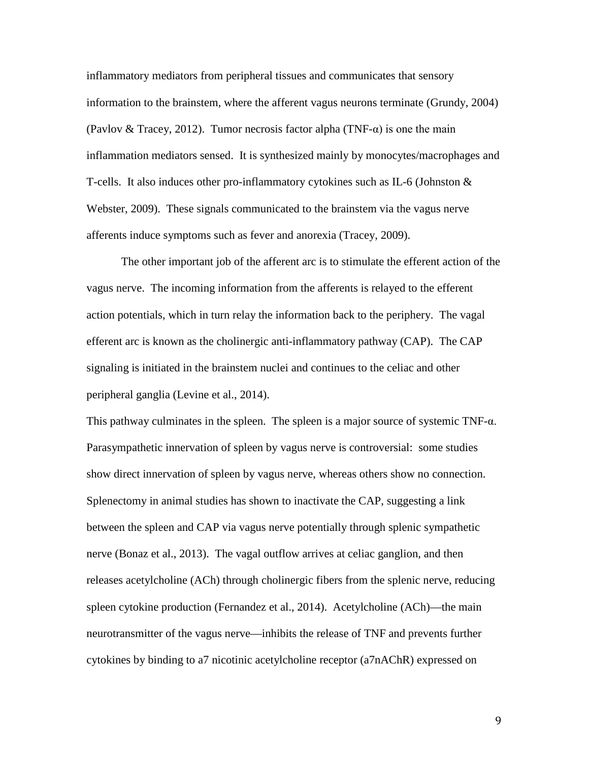inflammatory mediators from peripheral tissues and communicates that sensory information to the brainstem, where the afferent vagus neurons terminate (Grundy, 2004) (Pavlov & Tracey, 2012). Tumor necrosis factor alpha (TNF- $\alpha$ ) is one the main inflammation mediators sensed. It is synthesized mainly by monocytes/macrophages and T-cells. It also induces other pro-inflammatory cytokines such as IL-6 (Johnston & Webster, 2009). These signals communicated to the brainstem via the vagus nerve afferents induce symptoms such as fever and anorexia (Tracey, 2009).

The other important job of the afferent arc is to stimulate the efferent action of the vagus nerve. The incoming information from the afferents is relayed to the efferent action potentials, which in turn relay the information back to the periphery. The vagal efferent arc is known as the cholinergic anti-inflammatory pathway (CAP). The CAP signaling is initiated in the brainstem nuclei and continues to the celiac and other peripheral ganglia (Levine et al., 2014).

This pathway culminates in the spleen. The spleen is a major source of systemic  $TNF-\alpha$ . Parasympathetic innervation of spleen by vagus nerve is controversial: some studies show direct innervation of spleen by vagus nerve, whereas others show no connection. Splenectomy in animal studies has shown to inactivate the CAP, suggesting a link between the spleen and CAP via vagus nerve potentially through splenic sympathetic nerve (Bonaz et al., 2013). The vagal outflow arrives at celiac ganglion, and then releases acetylcholine (ACh) through cholinergic fibers from the splenic nerve, reducing spleen cytokine production (Fernandez et al., 2014). Acetylcholine (ACh)—the main neurotransmitter of the vagus nerve—inhibits the release of TNF and prevents further cytokines by binding to a7 nicotinic acetylcholine receptor (a7nAChR) expressed on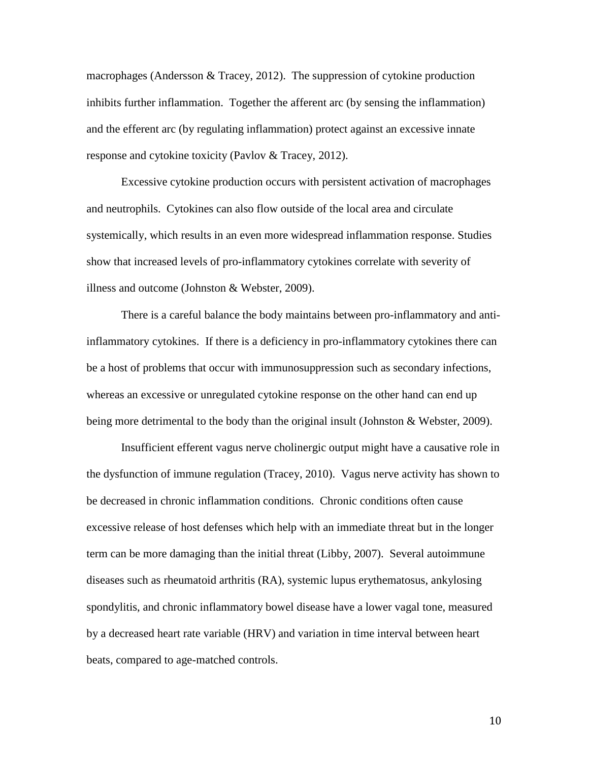macrophages (Andersson & Tracey, 2012). The suppression of cytokine production inhibits further inflammation. Together the afferent arc (by sensing the inflammation) and the efferent arc (by regulating inflammation) protect against an excessive innate response and cytokine toxicity (Pavlov & Tracey, 2012).

Excessive cytokine production occurs with persistent activation of macrophages and neutrophils. Cytokines can also flow outside of the local area and circulate systemically, which results in an even more widespread inflammation response. Studies show that increased levels of pro-inflammatory cytokines correlate with severity of illness and outcome (Johnston & Webster, 2009).

There is a careful balance the body maintains between pro-inflammatory and antiinflammatory cytokines. If there is a deficiency in pro-inflammatory cytokines there can be a host of problems that occur with immunosuppression such as secondary infections, whereas an excessive or unregulated cytokine response on the other hand can end up being more detrimental to the body than the original insult (Johnston & Webster, 2009).

Insufficient efferent vagus nerve cholinergic output might have a causative role in the dysfunction of immune regulation (Tracey, 2010). Vagus nerve activity has shown to be decreased in chronic inflammation conditions. Chronic conditions often cause excessive release of host defenses which help with an immediate threat but in the longer term can be more damaging than the initial threat (Libby, 2007). Several autoimmune diseases such as rheumatoid arthritis (RA), systemic lupus erythematosus, ankylosing spondylitis, and chronic inflammatory bowel disease have a lower vagal tone, measured by a decreased heart rate variable (HRV) and variation in time interval between heart beats, compared to age-matched controls.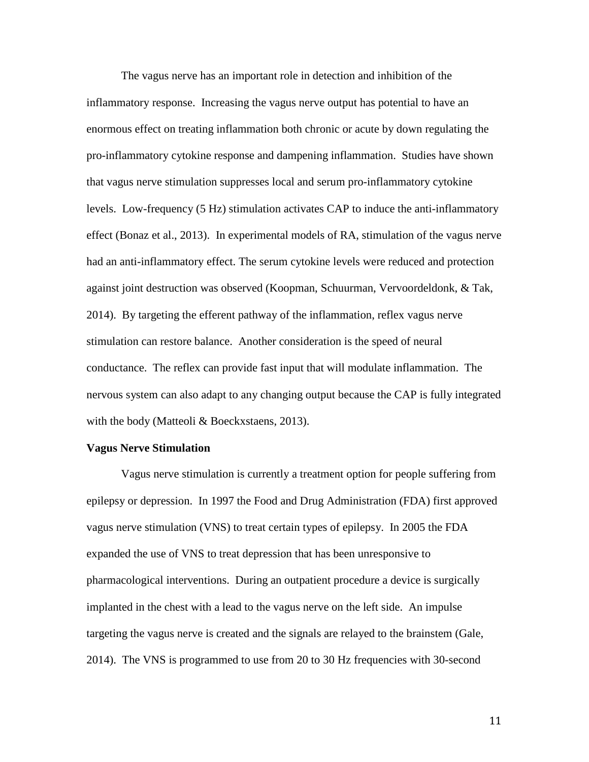The vagus nerve has an important role in detection and inhibition of the inflammatory response. Increasing the vagus nerve output has potential to have an enormous effect on treating inflammation both chronic or acute by down regulating the pro-inflammatory cytokine response and dampening inflammation. Studies have shown that vagus nerve stimulation suppresses local and serum pro-inflammatory cytokine levels. Low-frequency (5 Hz) stimulation activates CAP to induce the anti-inflammatory effect (Bonaz et al., 2013). In experimental models of RA, stimulation of the vagus nerve had an anti-inflammatory effect. The serum cytokine levels were reduced and protection against joint destruction was observed (Koopman, Schuurman, Vervoordeldonk, & Tak, 2014). By targeting the efferent pathway of the inflammation, reflex vagus nerve stimulation can restore balance. Another consideration is the speed of neural conductance. The reflex can provide fast input that will modulate inflammation. The nervous system can also adapt to any changing output because the CAP is fully integrated with the body (Matteoli & Boeckxstaens, 2013).

#### **Vagus Nerve Stimulation**

Vagus nerve stimulation is currently a treatment option for people suffering from epilepsy or depression. In 1997 the Food and Drug Administration (FDA) first approved vagus nerve stimulation (VNS) to treat certain types of epilepsy. In 2005 the FDA expanded the use of VNS to treat depression that has been unresponsive to pharmacological interventions. During an outpatient procedure a device is surgically implanted in the chest with a lead to the vagus nerve on the left side. An impulse targeting the vagus nerve is created and the signals are relayed to the brainstem (Gale, 2014). The VNS is programmed to use from 20 to 30 Hz frequencies with 30-second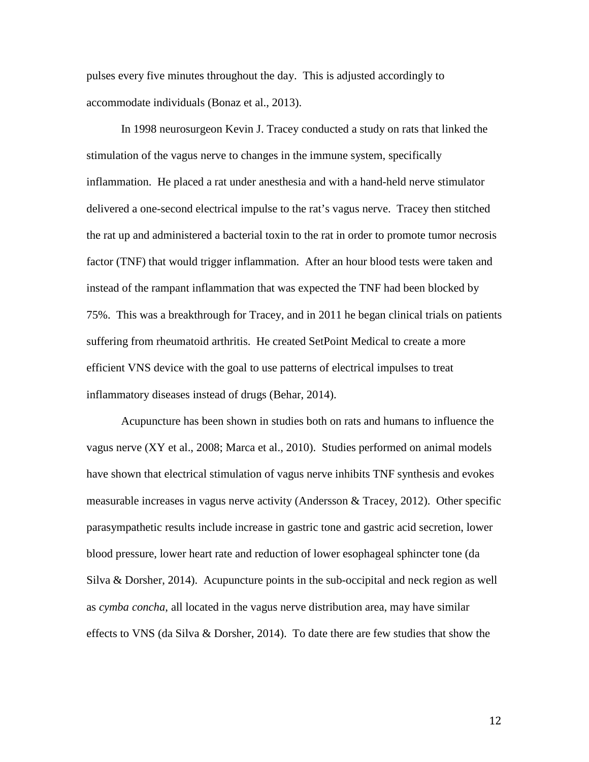pulses every five minutes throughout the day. This is adjusted accordingly to accommodate individuals (Bonaz et al., 2013).

In 1998 neurosurgeon Kevin J. Tracey conducted a study on rats that linked the stimulation of the vagus nerve to changes in the immune system, specifically inflammation. He placed a rat under anesthesia and with a hand-held nerve stimulator delivered a one-second electrical impulse to the rat's vagus nerve. Tracey then stitched the rat up and administered a bacterial toxin to the rat in order to promote tumor necrosis factor (TNF) that would trigger inflammation. After an hour blood tests were taken and instead of the rampant inflammation that was expected the TNF had been blocked by 75%. This was a breakthrough for Tracey, and in 2011 he began clinical trials on patients suffering from rheumatoid arthritis. He created SetPoint Medical to create a more efficient VNS device with the goal to use patterns of electrical impulses to treat inflammatory diseases instead of drugs (Behar, 2014).

Acupuncture has been shown in studies both on rats and humans to influence the vagus nerve (XY et al., 2008; Marca et al., 2010). Studies performed on animal models have shown that electrical stimulation of vagus nerve inhibits TNF synthesis and evokes measurable increases in vagus nerve activity (Andersson & Tracey, 2012). Other specific parasympathetic results include increase in gastric tone and gastric acid secretion, lower blood pressure, lower heart rate and reduction of lower esophageal sphincter tone (da Silva & Dorsher, 2014). Acupuncture points in the sub-occipital and neck region as well as *cymba concha*, all located in the vagus nerve distribution area, may have similar effects to VNS (da Silva & Dorsher, 2014). To date there are few studies that show the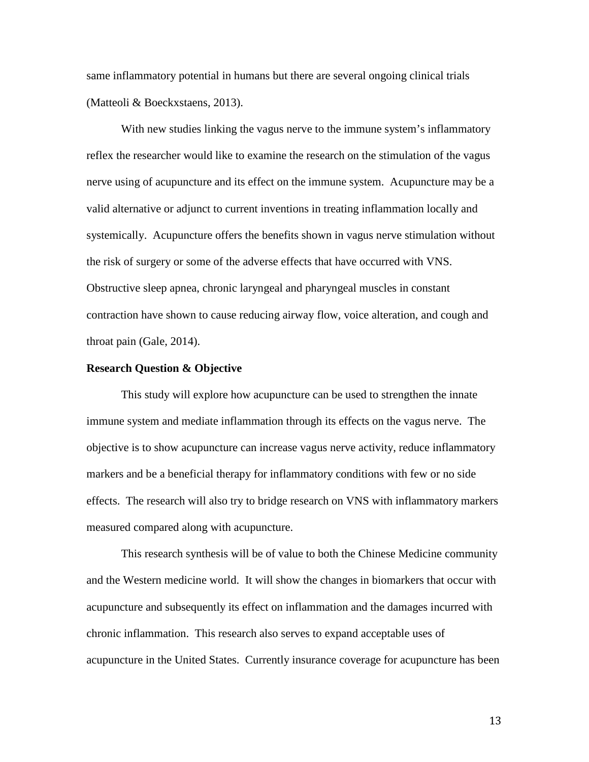same inflammatory potential in humans but there are several ongoing clinical trials (Matteoli & Boeckxstaens, 2013).

With new studies linking the vagus nerve to the immune system's inflammatory reflex the researcher would like to examine the research on the stimulation of the vagus nerve using of acupuncture and its effect on the immune system. Acupuncture may be a valid alternative or adjunct to current inventions in treating inflammation locally and systemically. Acupuncture offers the benefits shown in vagus nerve stimulation without the risk of surgery or some of the adverse effects that have occurred with VNS. Obstructive sleep apnea, chronic laryngeal and pharyngeal muscles in constant contraction have shown to cause reducing airway flow, voice alteration, and cough and throat pain (Gale, 2014).

#### **Research Question & Objective**

This study will explore how acupuncture can be used to strengthen the innate immune system and mediate inflammation through its effects on the vagus nerve. The objective is to show acupuncture can increase vagus nerve activity, reduce inflammatory markers and be a beneficial therapy for inflammatory conditions with few or no side effects. The research will also try to bridge research on VNS with inflammatory markers measured compared along with acupuncture.

This research synthesis will be of value to both the Chinese Medicine community and the Western medicine world. It will show the changes in biomarkers that occur with acupuncture and subsequently its effect on inflammation and the damages incurred with chronic inflammation. This research also serves to expand acceptable uses of acupuncture in the United States. Currently insurance coverage for acupuncture has been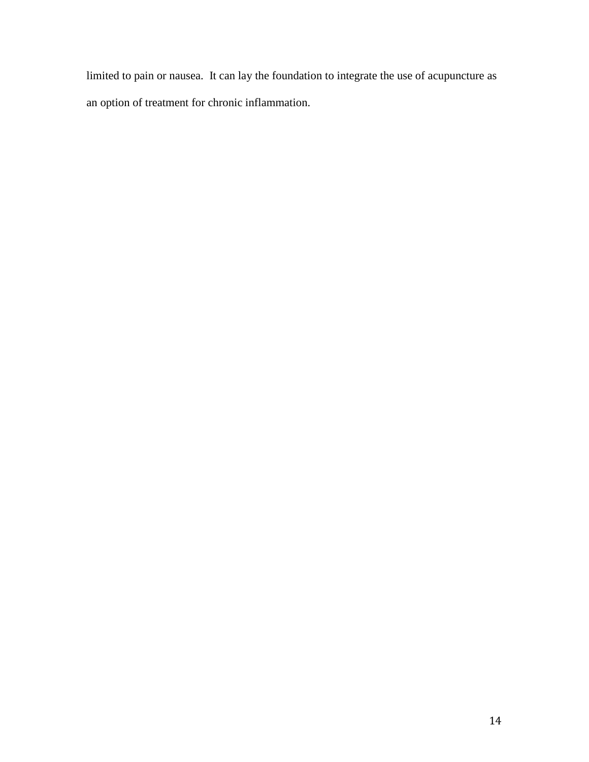limited to pain or nausea. It can lay the foundation to integrate the use of acupuncture as an option of treatment for chronic inflammation.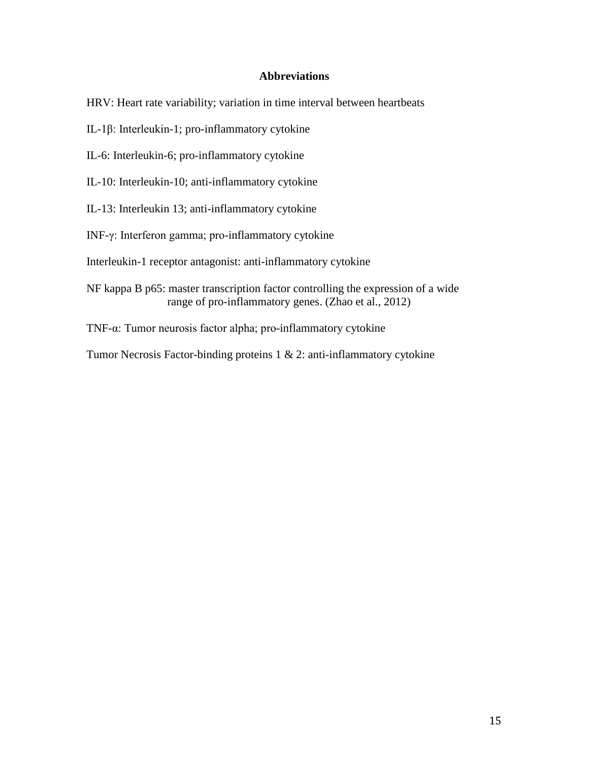### **Abbreviations**

HRV: Heart rate variability; variation in time interval between heartbeats

IL-1β: Interleukin-1; pro-inflammatory cytokine

IL-6: Interleukin-6; pro-inflammatory cytokine

IL-10: Interleukin-10; anti-inflammatory cytokine

IL-13: Interleukin 13; anti-inflammatory cytokine

INF-γ: Interferon gamma; pro-inflammatory cytokine

Interleukin-1 receptor antagonist: anti-inflammatory cytokine

NF kappa B p65: master transcription factor controlling the expression of a wide range of pro-inflammatory genes. (Zhao et al., 2012)

TNF-α: Tumor neurosis factor alpha; pro-inflammatory cytokine

Tumor Necrosis Factor-binding proteins 1 & 2: anti-inflammatory cytokine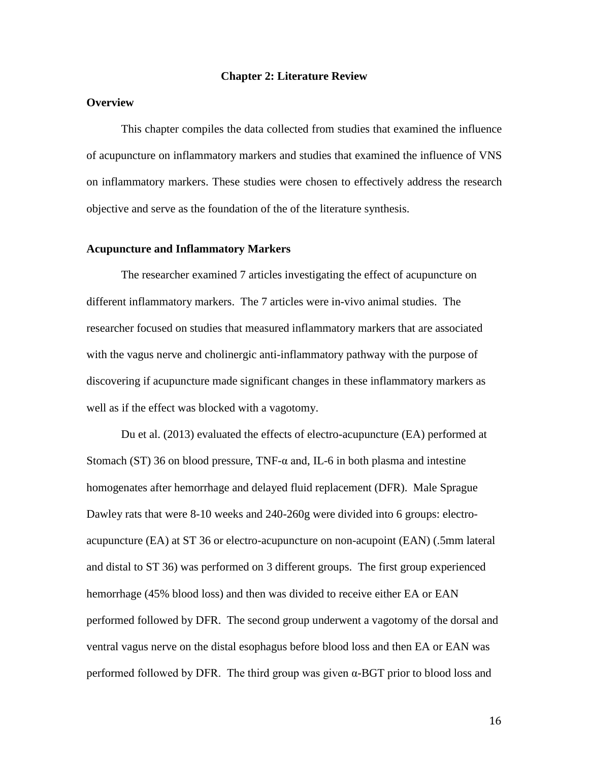#### **Chapter 2: Literature Review**

#### **Overview**

This chapter compiles the data collected from studies that examined the influence of acupuncture on inflammatory markers and studies that examined the influence of VNS on inflammatory markers. These studies were chosen to effectively address the research objective and serve as the foundation of the of the literature synthesis.

#### **Acupuncture and Inflammatory Markers**

The researcher examined 7 articles investigating the effect of acupuncture on different inflammatory markers. The 7 articles were in-vivo animal studies. The researcher focused on studies that measured inflammatory markers that are associated with the vagus nerve and cholinergic anti-inflammatory pathway with the purpose of discovering if acupuncture made significant changes in these inflammatory markers as well as if the effect was blocked with a vagotomy.

Du et al. (2013) evaluated the effects of electro-acupuncture (EA) performed at Stomach (ST) 36 on blood pressure,  $TNF-\alpha$  and, IL-6 in both plasma and intestine homogenates after hemorrhage and delayed fluid replacement (DFR). Male Sprague Dawley rats that were 8-10 weeks and 240-260g were divided into 6 groups: electroacupuncture (EA) at ST 36 or electro-acupuncture on non-acupoint (EAN) (.5mm lateral and distal to ST 36) was performed on 3 different groups. The first group experienced hemorrhage (45% blood loss) and then was divided to receive either EA or EAN performed followed by DFR. The second group underwent a vagotomy of the dorsal and ventral vagus nerve on the distal esophagus before blood loss and then EA or EAN was performed followed by DFR. The third group was given  $\alpha$ -BGT prior to blood loss and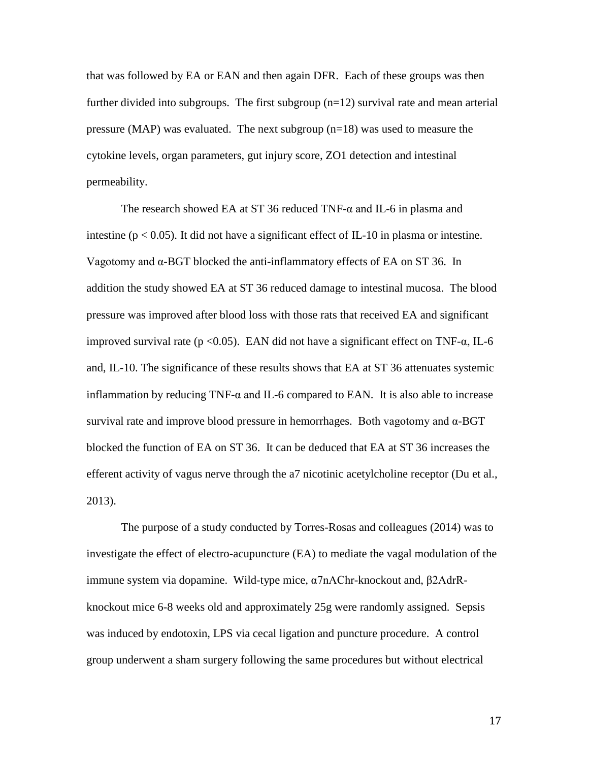that was followed by EA or EAN and then again DFR. Each of these groups was then further divided into subgroups. The first subgroup  $(n=12)$  survival rate and mean arterial pressure (MAP) was evaluated. The next subgroup  $(n=18)$  was used to measure the cytokine levels, organ parameters, gut injury score, ZO1 detection and intestinal permeability.

The research showed EA at ST 36 reduced TNF-α and IL-6 in plasma and intestine ( $p < 0.05$ ). It did not have a significant effect of IL-10 in plasma or intestine. Vagotomy and  $α$ -BGT blocked the anti-inflammatory effects of EA on ST 36. In addition the study showed EA at ST 36 reduced damage to intestinal mucosa. The blood pressure was improved after blood loss with those rats that received EA and significant improved survival rate ( $p < 0.05$ ). EAN did not have a significant effect on TNF- $\alpha$ , IL-6 and, IL-10. The significance of these results shows that EA at ST 36 attenuates systemic inflammation by reducing TNF- $\alpha$  and IL-6 compared to EAN. It is also able to increase survival rate and improve blood pressure in hemorrhages. Both vagotomy and  $\alpha$ -BGT blocked the function of EA on ST 36. It can be deduced that EA at ST 36 increases the efferent activity of vagus nerve through the a7 nicotinic acetylcholine receptor (Du et al., 2013).

The purpose of a study conducted by Torres-Rosas and colleagues (2014) was to investigate the effect of electro-acupuncture (EA) to mediate the vagal modulation of the immune system via dopamine. Wild-type mice, α7nAChr-knockout and, β2AdrRknockout mice 6-8 weeks old and approximately 25g were randomly assigned. Sepsis was induced by endotoxin, LPS via cecal ligation and puncture procedure. A control group underwent a sham surgery following the same procedures but without electrical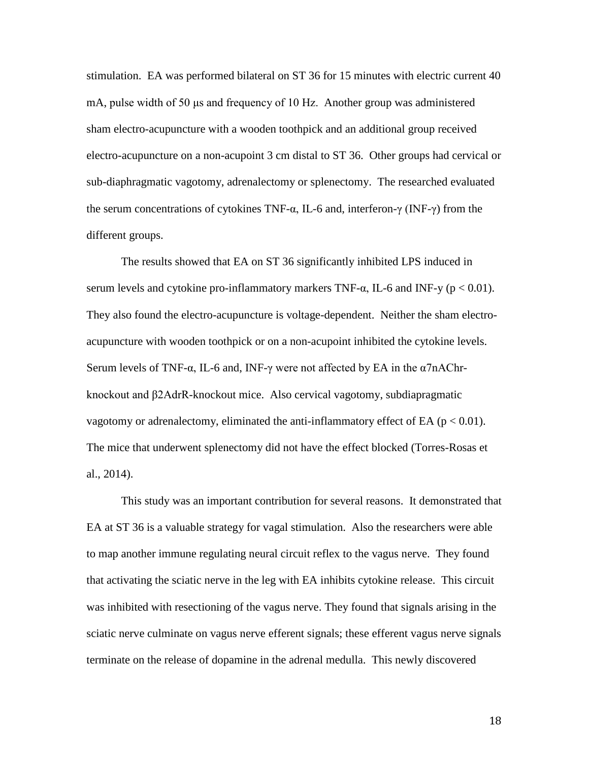stimulation. EA was performed bilateral on ST 36 for 15 minutes with electric current 40 mA, pulse width of 50 μs and frequency of 10 Hz. Another group was administered sham electro-acupuncture with a wooden toothpick and an additional group received electro-acupuncture on a non-acupoint 3 cm distal to ST 36. Other groups had cervical or sub-diaphragmatic vagotomy, adrenalectomy or splenectomy. The researched evaluated the serum concentrations of cytokines TNF-α, IL-6 and, interferon-γ (INF-γ) from the different groups.

The results showed that EA on ST 36 significantly inhibited LPS induced in serum levels and cytokine pro-inflammatory markers TNF- $\alpha$ , IL-6 and INF-y (p < 0.01). They also found the electro-acupuncture is voltage-dependent. Neither the sham electroacupuncture with wooden toothpick or on a non-acupoint inhibited the cytokine levels. Serum levels of TNF-α, IL-6 and, INF-γ were not affected by EA in the  $α7nAChr$ knockout and β2AdrR-knockout mice. Also cervical vagotomy, subdiapragmatic vagotomy or adrenalectomy, eliminated the anti-inflammatory effect of EA ( $p < 0.01$ ). The mice that underwent splenectomy did not have the effect blocked (Torres-Rosas et al., 2014).

This study was an important contribution for several reasons. It demonstrated that EA at ST 36 is a valuable strategy for vagal stimulation. Also the researchers were able to map another immune regulating neural circuit reflex to the vagus nerve. They found that activating the sciatic nerve in the leg with EA inhibits cytokine release. This circuit was inhibited with resectioning of the vagus nerve. They found that signals arising in the sciatic nerve culminate on vagus nerve efferent signals; these efferent vagus nerve signals terminate on the release of dopamine in the adrenal medulla. This newly discovered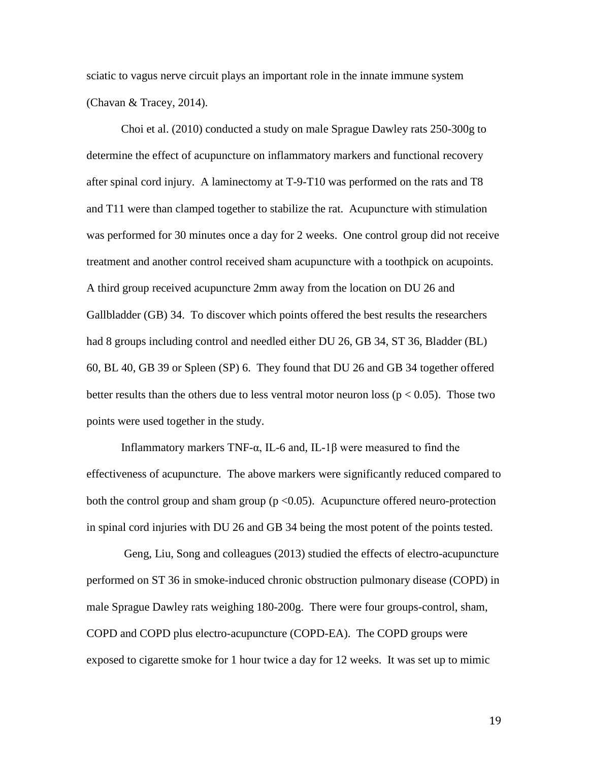sciatic to vagus nerve circuit plays an important role in the innate immune system (Chavan & Tracey, 2014).

Choi et al. (2010) conducted a study on male Sprague Dawley rats 250-300g to determine the effect of acupuncture on inflammatory markers and functional recovery after spinal cord injury. A laminectomy at T-9-T10 was performed on the rats and T8 and T11 were than clamped together to stabilize the rat. Acupuncture with stimulation was performed for 30 minutes once a day for 2 weeks. One control group did not receive treatment and another control received sham acupuncture with a toothpick on acupoints. A third group received acupuncture 2mm away from the location on DU 26 and Gallbladder (GB) 34. To discover which points offered the best results the researchers had 8 groups including control and needled either DU 26, GB 34, ST 36, Bladder (BL) 60, BL 40, GB 39 or Spleen (SP) 6. They found that DU 26 and GB 34 together offered better results than the others due to less ventral motor neuron loss ( $p < 0.05$ ). Those two points were used together in the study.

Inflammatory markers TNF-α, IL-6 and, IL-1β were measured to find the effectiveness of acupuncture. The above markers were significantly reduced compared to both the control group and sham group ( $p < 0.05$ ). Acupuncture offered neuro-protection in spinal cord injuries with DU 26 and GB 34 being the most potent of the points tested.

Geng, Liu, Song and colleagues (2013) studied the effects of electro-acupuncture performed on ST 36 in smoke-induced chronic obstruction pulmonary disease (COPD) in male Sprague Dawley rats weighing 180-200g. There were four groups-control, sham, COPD and COPD plus electro-acupuncture (COPD-EA). The COPD groups were exposed to cigarette smoke for 1 hour twice a day for 12 weeks. It was set up to mimic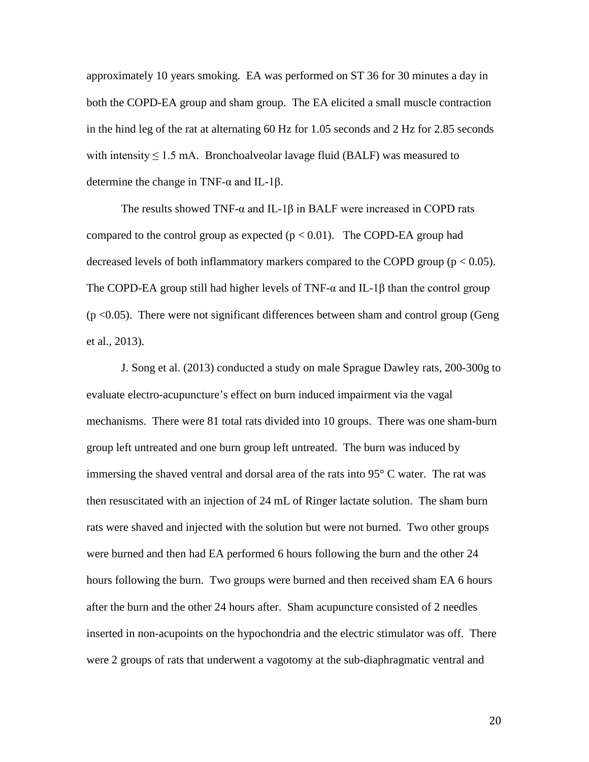approximately 10 years smoking. EA was performed on ST 36 for 30 minutes a day in both the COPD-EA group and sham group. The EA elicited a small muscle contraction in the hind leg of the rat at alternating 60 Hz for 1.05 seconds and 2 Hz for 2.85 seconds with intensity  $\leq 1.5$  mA. Bronchoalveolar lavage fluid (BALF) was measured to determine the change in TNF-α and IL-1β.

The results showed TNF- $\alpha$  and IL-1 $\beta$  in BALF were increased in COPD rats compared to the control group as expected  $(p < 0.01)$ . The COPD-EA group had decreased levels of both inflammatory markers compared to the COPD group ( $p < 0.05$ ). The COPD-EA group still had higher levels of TNF- $\alpha$  and IL-1 $\beta$  than the control group  $(p < 0.05)$ . There were not significant differences between sham and control group (Geng et al., 2013).

J. Song et al. (2013) conducted a study on male Sprague Dawley rats, 200-300g to evaluate electro-acupuncture's effect on burn induced impairment via the vagal mechanisms. There were 81 total rats divided into 10 groups. There was one sham-burn group left untreated and one burn group left untreated. The burn was induced by immersing the shaved ventral and dorsal area of the rats into 95° C water. The rat was then resuscitated with an injection of 24 mL of Ringer lactate solution. The sham burn rats were shaved and injected with the solution but were not burned. Two other groups were burned and then had EA performed 6 hours following the burn and the other 24 hours following the burn. Two groups were burned and then received sham EA 6 hours after the burn and the other 24 hours after. Sham acupuncture consisted of 2 needles inserted in non-acupoints on the hypochondria and the electric stimulator was off. There were 2 groups of rats that underwent a vagotomy at the sub-diaphragmatic ventral and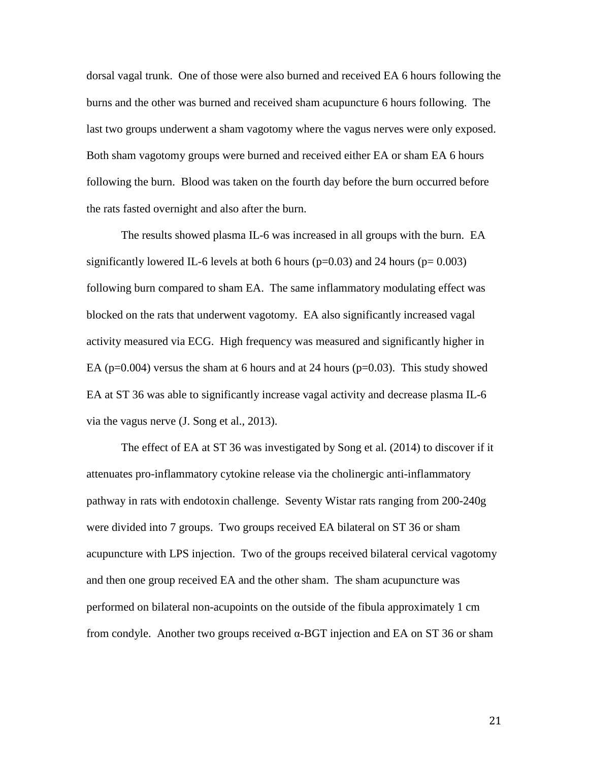dorsal vagal trunk. One of those were also burned and received EA 6 hours following the burns and the other was burned and received sham acupuncture 6 hours following. The last two groups underwent a sham vagotomy where the vagus nerves were only exposed. Both sham vagotomy groups were burned and received either EA or sham EA 6 hours following the burn. Blood was taken on the fourth day before the burn occurred before the rats fasted overnight and also after the burn.

The results showed plasma IL-6 was increased in all groups with the burn. EA significantly lowered IL-6 levels at both 6 hours ( $p=0.03$ ) and 24 hours ( $p=0.003$ ) following burn compared to sham EA. The same inflammatory modulating effect was blocked on the rats that underwent vagotomy. EA also significantly increased vagal activity measured via ECG. High frequency was measured and significantly higher in EA ( $p=0.004$ ) versus the sham at 6 hours and at 24 hours ( $p=0.03$ ). This study showed EA at ST 36 was able to significantly increase vagal activity and decrease plasma IL-6 via the vagus nerve (J. Song et al., 2013).

The effect of EA at ST 36 was investigated by Song et al. (2014) to discover if it attenuates pro-inflammatory cytokine release via the cholinergic anti-inflammatory pathway in rats with endotoxin challenge. Seventy Wistar rats ranging from 200-240g were divided into 7 groups. Two groups received EA bilateral on ST 36 or sham acupuncture with LPS injection. Two of the groups received bilateral cervical vagotomy and then one group received EA and the other sham. The sham acupuncture was performed on bilateral non-acupoints on the outside of the fibula approximately 1 cm from condyle. Another two groups received α-BGT injection and EA on ST 36 or sham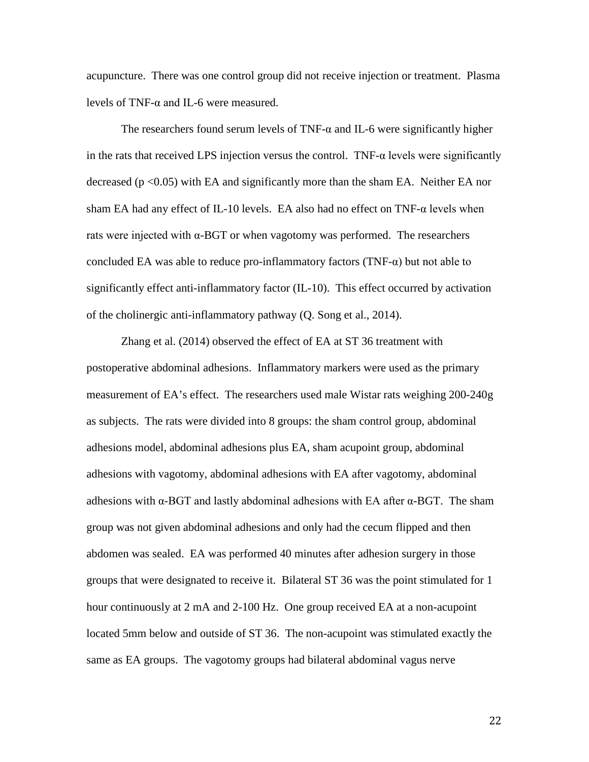acupuncture. There was one control group did not receive injection or treatment. Plasma levels of TNF-α and IL-6 were measured.

The researchers found serum levels of TNF- $\alpha$  and IL-6 were significantly higher in the rats that received LPS injection versus the control. TNF- $\alpha$  levels were significantly decreased ( $p < 0.05$ ) with EA and significantly more than the sham EA. Neither EA nor sham EA had any effect of IL-10 levels. EA also had no effect on  $TNF-\alpha$  levels when rats were injected with  $\alpha$ -BGT or when vagotomy was performed. The researchers concluded EA was able to reduce pro-inflammatory factors  $(TNF-\alpha)$  but not able to significantly effect anti-inflammatory factor (IL-10). This effect occurred by activation of the cholinergic anti-inflammatory pathway (Q. Song et al., 2014).

Zhang et al. (2014) observed the effect of EA at ST 36 treatment with postoperative abdominal adhesions. Inflammatory markers were used as the primary measurement of EA's effect. The researchers used male Wistar rats weighing 200-240g as subjects. The rats were divided into 8 groups: the sham control group, abdominal adhesions model, abdominal adhesions plus EA, sham acupoint group, abdominal adhesions with vagotomy, abdominal adhesions with EA after vagotomy, abdominal adhesions with  $\alpha$ -BGT and lastly abdominal adhesions with EA after  $\alpha$ -BGT. The sham group was not given abdominal adhesions and only had the cecum flipped and then abdomen was sealed. EA was performed 40 minutes after adhesion surgery in those groups that were designated to receive it. Bilateral ST 36 was the point stimulated for 1 hour continuously at 2 mA and 2-100 Hz. One group received EA at a non-acupoint located 5mm below and outside of ST 36. The non-acupoint was stimulated exactly the same as EA groups. The vagotomy groups had bilateral abdominal vagus nerve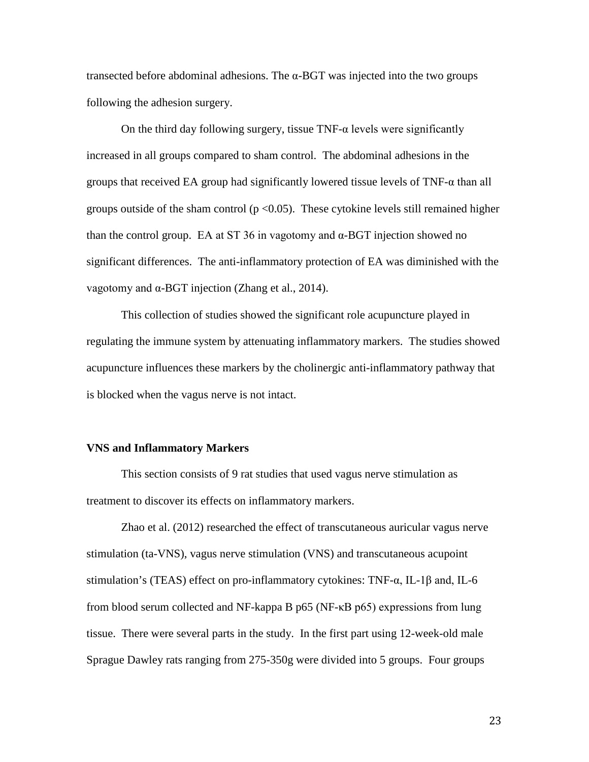transected before abdominal adhesions. The α-BGT was injected into the two groups following the adhesion surgery.

On the third day following surgery, tissue  $TNF-\alpha$  levels were significantly increased in all groups compared to sham control. The abdominal adhesions in the groups that received EA group had significantly lowered tissue levels of TNF-α than all groups outside of the sham control  $(p < 0.05)$ . These cytokine levels still remained higher than the control group. EA at ST 36 in vagotomy and  $\alpha$ -BGT injection showed no significant differences. The anti-inflammatory protection of EA was diminished with the vagotomy and α-BGT injection (Zhang et al., 2014).

This collection of studies showed the significant role acupuncture played in regulating the immune system by attenuating inflammatory markers. The studies showed acupuncture influences these markers by the cholinergic anti-inflammatory pathway that is blocked when the vagus nerve is not intact.

#### **VNS and Inflammatory Markers**

This section consists of 9 rat studies that used vagus nerve stimulation as treatment to discover its effects on inflammatory markers.

Zhao et al. (2012) researched the effect of transcutaneous auricular vagus nerve stimulation (ta-VNS), vagus nerve stimulation (VNS) and transcutaneous acupoint stimulation's (TEAS) effect on pro-inflammatory cytokines: TNF-α, IL-1β and, IL-6 from blood serum collected and NF-kappa B p65 (NF-κB p65) expressions from lung tissue. There were several parts in the study. In the first part using 12-week-old male Sprague Dawley rats ranging from 275-350g were divided into 5 groups. Four groups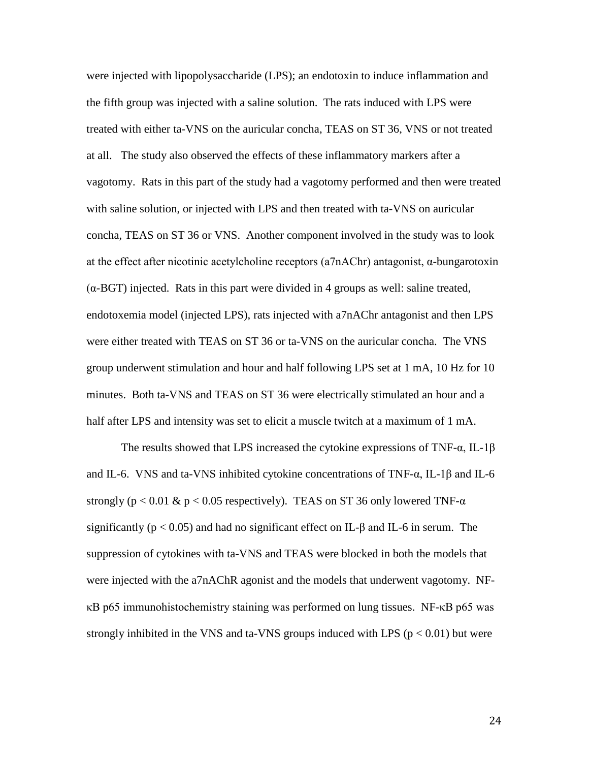were injected with lipopolysaccharide (LPS); an endotoxin to induce inflammation and the fifth group was injected with a saline solution. The rats induced with LPS were treated with either ta-VNS on the auricular concha, TEAS on ST 36, VNS or not treated at all. The study also observed the effects of these inflammatory markers after a vagotomy. Rats in this part of the study had a vagotomy performed and then were treated with saline solution, or injected with LPS and then treated with ta-VNS on auricular concha, TEAS on ST 36 or VNS. Another component involved in the study was to look at the effect after nicotinic acetylcholine receptors (a7nAChr) antagonist, α-bungarotoxin  $(\alpha$ -BGT) injected. Rats in this part were divided in 4 groups as well: saline treated, endotoxemia model (injected LPS), rats injected with a7nAChr antagonist and then LPS were either treated with TEAS on ST 36 or ta-VNS on the auricular concha. The VNS group underwent stimulation and hour and half following LPS set at 1 mA, 10 Hz for 10 minutes. Both ta-VNS and TEAS on ST 36 were electrically stimulated an hour and a half after LPS and intensity was set to elicit a muscle twitch at a maximum of 1 mA.

The results showed that LPS increased the cytokine expressions of TNF- $\alpha$ , IL-1 $\beta$ and IL-6. VNS and ta-VNS inhibited cytokine concentrations of TNF- $\alpha$ , IL-1 $\beta$  and IL-6 strongly (p < 0.01 & p < 0.05 respectively). TEAS on ST 36 only lowered TNF- $\alpha$ significantly ( $p < 0.05$ ) and had no significant effect on IL- $\beta$  and IL-6 in serum. The suppression of cytokines with ta-VNS and TEAS were blocked in both the models that were injected with the a7nAChR agonist and the models that underwent vagotomy. NFκB p65 immunohistochemistry staining was performed on lung tissues. NF-κB p65 was strongly inhibited in the VNS and ta-VNS groups induced with LPS ( $p < 0.01$ ) but were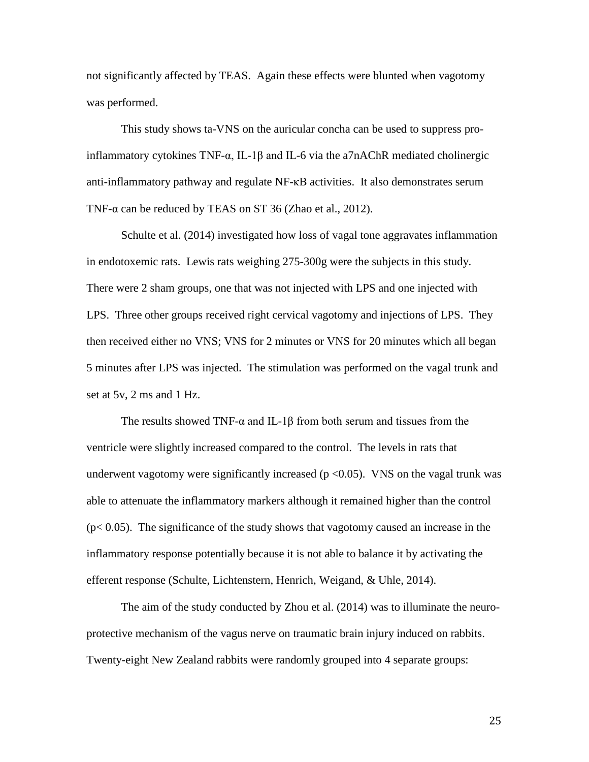not significantly affected by TEAS. Again these effects were blunted when vagotomy was performed.

This study shows ta-VNS on the auricular concha can be used to suppress proinflammatory cytokines TNF-α, IL-1β and IL-6 via the a7nAChR mediated cholinergic anti-inflammatory pathway and regulate NF-κB activities. It also demonstrates serum TNF- $\alpha$  can be reduced by TEAS on ST 36 (Zhao et al., 2012).

Schulte et al. (2014) investigated how loss of vagal tone aggravates inflammation in endotoxemic rats. Lewis rats weighing 275-300g were the subjects in this study. There were 2 sham groups, one that was not injected with LPS and one injected with LPS. Three other groups received right cervical vagotomy and injections of LPS. They then received either no VNS; VNS for 2 minutes or VNS for 20 minutes which all began 5 minutes after LPS was injected. The stimulation was performed on the vagal trunk and set at 5v, 2 ms and 1 Hz.

The results showed TNF- $\alpha$  and IL-1 $\beta$  from both serum and tissues from the ventricle were slightly increased compared to the control. The levels in rats that underwent vagotomy were significantly increased ( $p \le 0.05$ ). VNS on the vagal trunk was able to attenuate the inflammatory markers although it remained higher than the control  $(p< 0.05)$ . The significance of the study shows that vagotomy caused an increase in the inflammatory response potentially because it is not able to balance it by activating the efferent response (Schulte, Lichtenstern, Henrich, Weigand, & Uhle, 2014).

The aim of the study conducted by Zhou et al. (2014) was to illuminate the neuroprotective mechanism of the vagus nerve on traumatic brain injury induced on rabbits. Twenty-eight New Zealand rabbits were randomly grouped into 4 separate groups: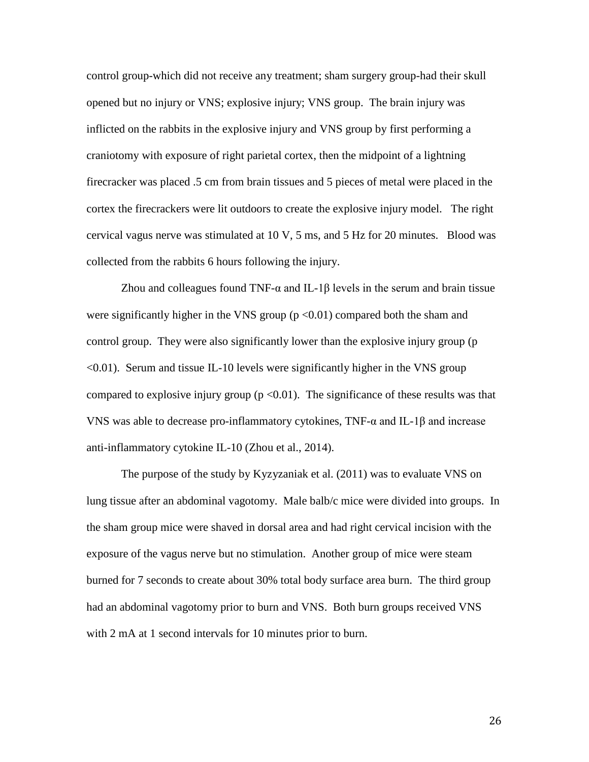control group-which did not receive any treatment; sham surgery group-had their skull opened but no injury or VNS; explosive injury; VNS group. The brain injury was inflicted on the rabbits in the explosive injury and VNS group by first performing a craniotomy with exposure of right parietal cortex, then the midpoint of a lightning firecracker was placed .5 cm from brain tissues and 5 pieces of metal were placed in the cortex the firecrackers were lit outdoors to create the explosive injury model. The right cervical vagus nerve was stimulated at 10 V, 5 ms, and 5 Hz for 20 minutes. Blood was collected from the rabbits 6 hours following the injury.

Zhou and colleagues found  $TNF-\alpha$  and IL-1 $\beta$  levels in the serum and brain tissue were significantly higher in the VNS group  $(p \le 0.01)$  compared both the sham and control group. They were also significantly lower than the explosive injury group (p  $\leq 0.01$ ). Serum and tissue IL-10 levels were significantly higher in the VNS group compared to explosive injury group  $(p \le 0.01)$ . The significance of these results was that VNS was able to decrease pro-inflammatory cytokines,  $TNF-α$  and  $IL-1β$  and increase anti-inflammatory cytokine IL-10 (Zhou et al., 2014).

The purpose of the study by Kyzyzaniak et al. (2011) was to evaluate VNS on lung tissue after an abdominal vagotomy. Male balb/c mice were divided into groups. In the sham group mice were shaved in dorsal area and had right cervical incision with the exposure of the vagus nerve but no stimulation. Another group of mice were steam burned for 7 seconds to create about 30% total body surface area burn. The third group had an abdominal vagotomy prior to burn and VNS. Both burn groups received VNS with 2 mA at 1 second intervals for 10 minutes prior to burn.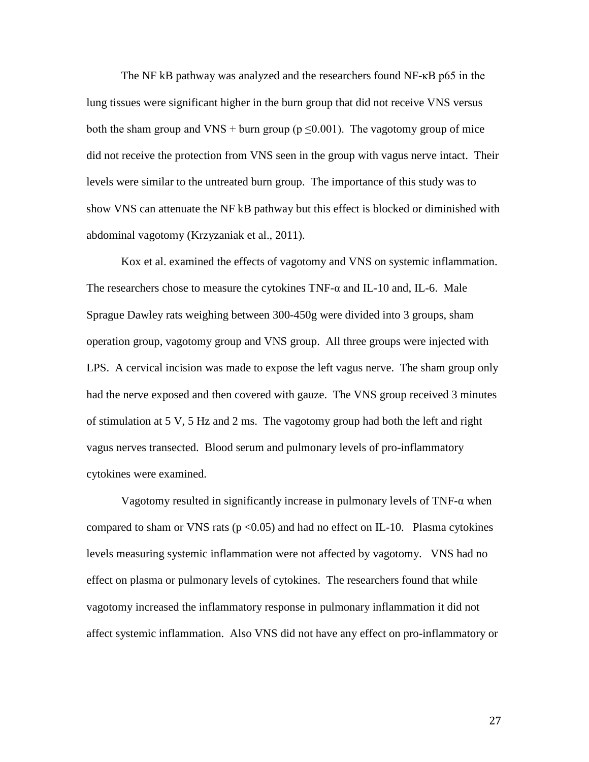The NF kB pathway was analyzed and the researchers found NF-κB p65 in the lung tissues were significant higher in the burn group that did not receive VNS versus both the sham group and VNS + burn group ( $p \le 0.001$ ). The vagotomy group of mice did not receive the protection from VNS seen in the group with vagus nerve intact. Their levels were similar to the untreated burn group. The importance of this study was to show VNS can attenuate the NF kB pathway but this effect is blocked or diminished with abdominal vagotomy (Krzyzaniak et al., 2011).

Kox et al. examined the effects of vagotomy and VNS on systemic inflammation. The researchers chose to measure the cytokines  $TNF-\alpha$  and IL-10 and, IL-6. Male Sprague Dawley rats weighing between 300-450g were divided into 3 groups, sham operation group, vagotomy group and VNS group. All three groups were injected with LPS. A cervical incision was made to expose the left vagus nerve. The sham group only had the nerve exposed and then covered with gauze. The VNS group received 3 minutes of stimulation at 5 V, 5 Hz and 2 ms. The vagotomy group had both the left and right vagus nerves transected. Blood serum and pulmonary levels of pro-inflammatory cytokines were examined.

Vagotomy resulted in significantly increase in pulmonary levels of  $TNF-\alpha$  when compared to sham or VNS rats ( $p < 0.05$ ) and had no effect on IL-10. Plasma cytokines levels measuring systemic inflammation were not affected by vagotomy. VNS had no effect on plasma or pulmonary levels of cytokines. The researchers found that while vagotomy increased the inflammatory response in pulmonary inflammation it did not affect systemic inflammation. Also VNS did not have any effect on pro-inflammatory or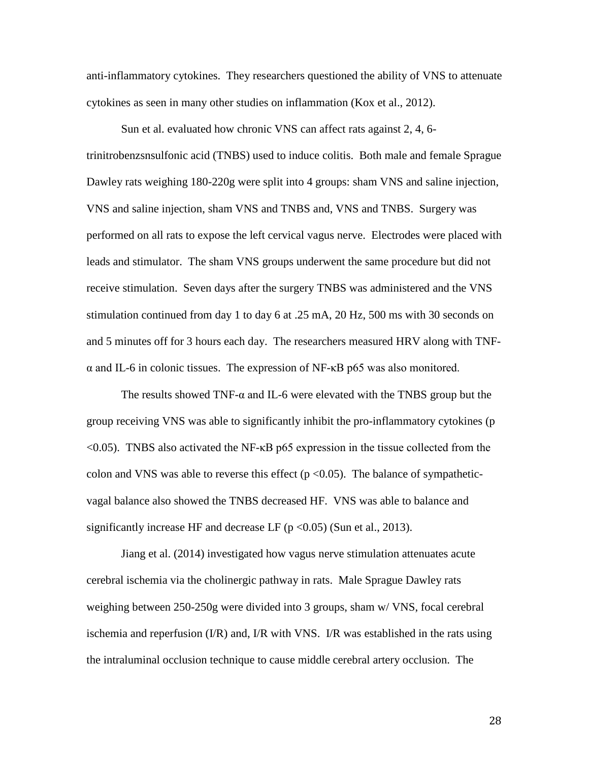anti-inflammatory cytokines. They researchers questioned the ability of VNS to attenuate cytokines as seen in many other studies on inflammation (Kox et al., 2012).

Sun et al. evaluated how chronic VNS can affect rats against 2, 4, 6 trinitrobenzsnsulfonic acid (TNBS) used to induce colitis. Both male and female Sprague Dawley rats weighing 180-220g were split into 4 groups: sham VNS and saline injection, VNS and saline injection, sham VNS and TNBS and, VNS and TNBS. Surgery was performed on all rats to expose the left cervical vagus nerve. Electrodes were placed with leads and stimulator. The sham VNS groups underwent the same procedure but did not receive stimulation. Seven days after the surgery TNBS was administered and the VNS stimulation continued from day 1 to day 6 at .25 mA, 20 Hz, 500 ms with 30 seconds on and 5 minutes off for 3 hours each day. The researchers measured HRV along with TNFα and IL-6 in colonic tissues. The expression of NF-κB p65 was also monitored.

The results showed TNF- $\alpha$  and IL-6 were elevated with the TNBS group but the group receiving VNS was able to significantly inhibit the pro-inflammatory cytokines (p <0.05). TNBS also activated the NF-κB p65 expression in the tissue collected from the colon and VNS was able to reverse this effect ( $p < 0.05$ ). The balance of sympatheticvagal balance also showed the TNBS decreased HF. VNS was able to balance and significantly increase HF and decrease LF ( $p < 0.05$ ) (Sun et al., 2013).

Jiang et al. (2014) investigated how vagus nerve stimulation attenuates acute cerebral ischemia via the cholinergic pathway in rats. Male Sprague Dawley rats weighing between 250-250g were divided into 3 groups, sham w/ VNS, focal cerebral ischemia and reperfusion  $(I/R)$  and, I/R with VNS. I/R was established in the rats using the intraluminal occlusion technique to cause middle cerebral artery occlusion. The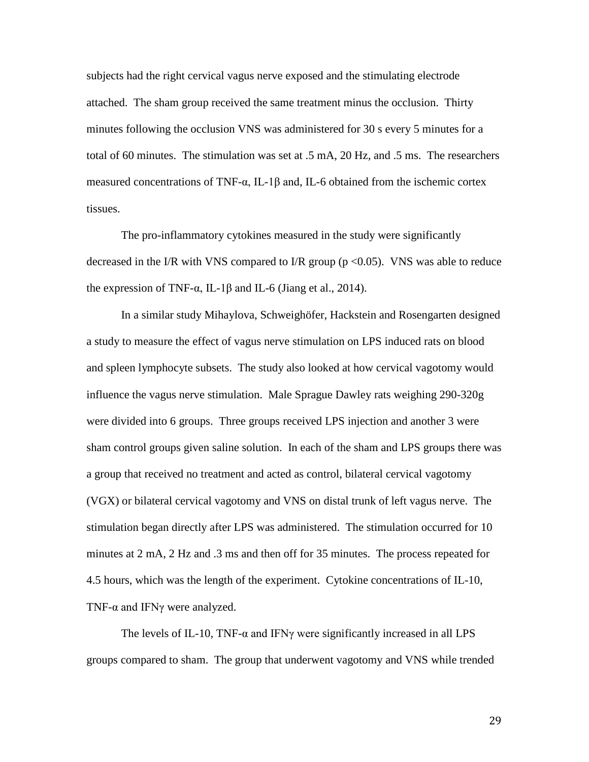subjects had the right cervical vagus nerve exposed and the stimulating electrode attached. The sham group received the same treatment minus the occlusion. Thirty minutes following the occlusion VNS was administered for 30 s every 5 minutes for a total of 60 minutes. The stimulation was set at .5 mA, 20 Hz, and .5 ms. The researchers measured concentrations of TNF-α, IL-1β and, IL-6 obtained from the ischemic cortex tissues.

The pro-inflammatory cytokines measured in the study were significantly decreased in the I/R with VNS compared to I/R group ( $p \le 0.05$ ). VNS was able to reduce the expression of TNF- $\alpha$ , IL-1 $\beta$  and IL-6 (Jiang et al., 2014).

In a similar study Mihaylova, Schweighöfer, Hackstein and Rosengarten designed a study to measure the effect of vagus nerve stimulation on LPS induced rats on blood and spleen lymphocyte subsets. The study also looked at how cervical vagotomy would influence the vagus nerve stimulation. Male Sprague Dawley rats weighing 290-320g were divided into 6 groups. Three groups received LPS injection and another 3 were sham control groups given saline solution. In each of the sham and LPS groups there was a group that received no treatment and acted as control, bilateral cervical vagotomy (VGX) or bilateral cervical vagotomy and VNS on distal trunk of left vagus nerve. The stimulation began directly after LPS was administered. The stimulation occurred for 10 minutes at 2 mA, 2 Hz and .3 ms and then off for 35 minutes. The process repeated for 4.5 hours, which was the length of the experiment. Cytokine concentrations of IL-10, TNF- $\alpha$  and IFN $\gamma$  were analyzed.

The levels of IL-10, TNF- $\alpha$  and IFN<sub>Y</sub> were significantly increased in all LPS groups compared to sham. The group that underwent vagotomy and VNS while trended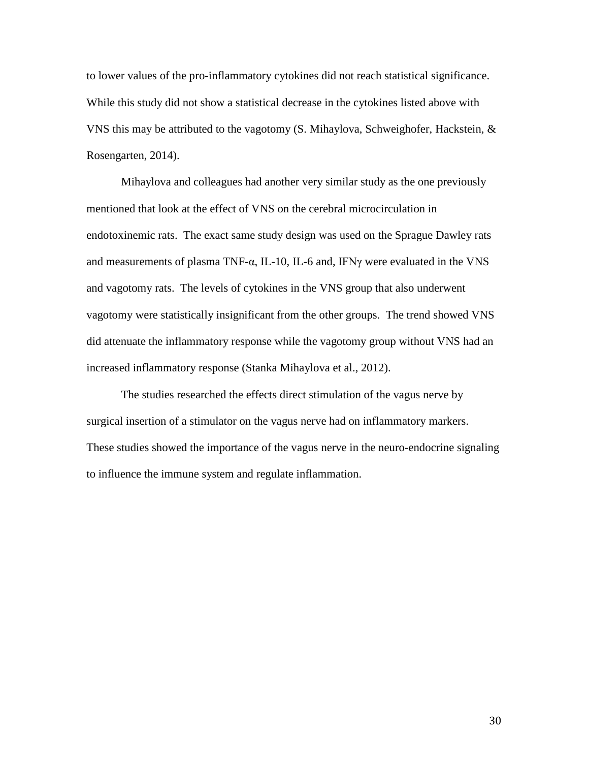to lower values of the pro-inflammatory cytokines did not reach statistical significance. While this study did not show a statistical decrease in the cytokines listed above with VNS this may be attributed to the vagotomy (S. Mihaylova, Schweighofer, Hackstein, & Rosengarten, 2014).

Mihaylova and colleagues had another very similar study as the one previously mentioned that look at the effect of VNS on the cerebral microcirculation in endotoxinemic rats. The exact same study design was used on the Sprague Dawley rats and measurements of plasma TNF- $\alpha$ , IL-10, IL-6 and, IFN $\gamma$  were evaluated in the VNS and vagotomy rats. The levels of cytokines in the VNS group that also underwent vagotomy were statistically insignificant from the other groups. The trend showed VNS did attenuate the inflammatory response while the vagotomy group without VNS had an increased inflammatory response (Stanka Mihaylova et al., 2012).

The studies researched the effects direct stimulation of the vagus nerve by surgical insertion of a stimulator on the vagus nerve had on inflammatory markers. These studies showed the importance of the vagus nerve in the neuro-endocrine signaling to influence the immune system and regulate inflammation.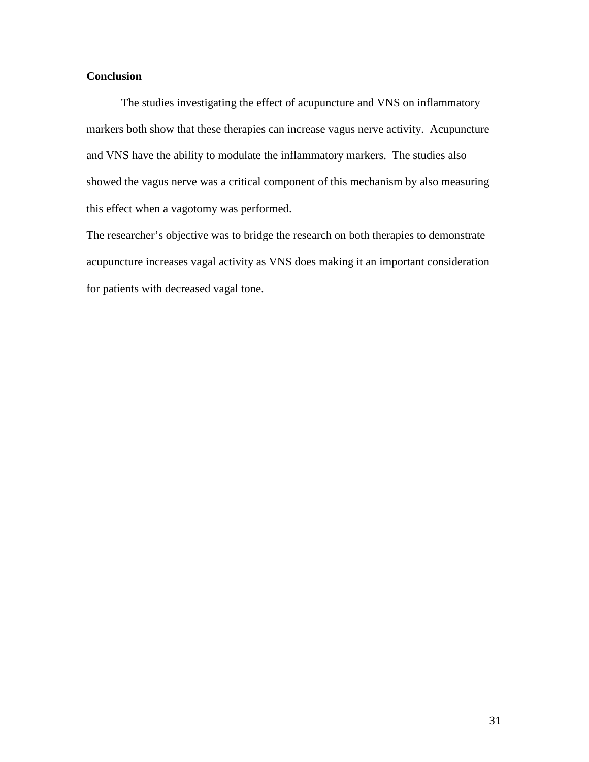### **Conclusion**

The studies investigating the effect of acupuncture and VNS on inflammatory markers both show that these therapies can increase vagus nerve activity. Acupuncture and VNS have the ability to modulate the inflammatory markers. The studies also showed the vagus nerve was a critical component of this mechanism by also measuring this effect when a vagotomy was performed.

The researcher's objective was to bridge the research on both therapies to demonstrate acupuncture increases vagal activity as VNS does making it an important consideration for patients with decreased vagal tone.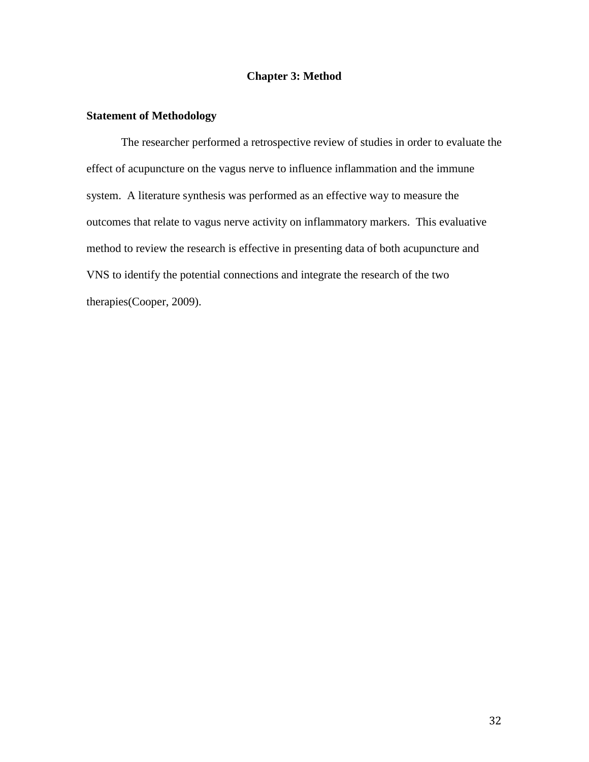#### **Chapter 3: Method**

#### **Statement of Methodology**

The researcher performed a retrospective review of studies in order to evaluate the effect of acupuncture on the vagus nerve to influence inflammation and the immune system. A literature synthesis was performed as an effective way to measure the outcomes that relate to vagus nerve activity on inflammatory markers. This evaluative method to review the research is effective in presenting data of both acupuncture and VNS to identify the potential connections and integrate the research of the two therapies(Cooper, 2009).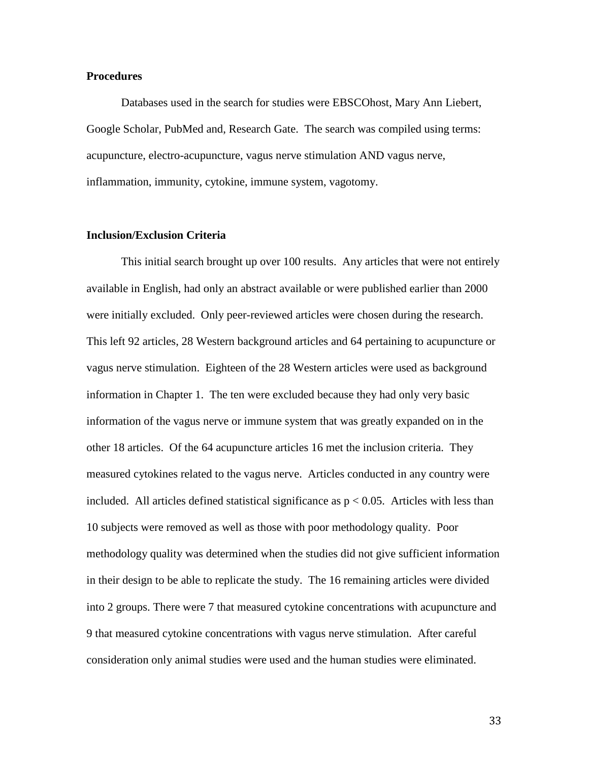#### **Procedures**

Databases used in the search for studies were EBSCOhost, Mary Ann Liebert, Google Scholar, PubMed and, Research Gate. The search was compiled using terms: acupuncture, electro-acupuncture, vagus nerve stimulation AND vagus nerve, inflammation, immunity, cytokine, immune system, vagotomy.

#### **Inclusion/Exclusion Criteria**

This initial search brought up over 100 results. Any articles that were not entirely available in English, had only an abstract available or were published earlier than 2000 were initially excluded. Only peer-reviewed articles were chosen during the research. This left 92 articles, 28 Western background articles and 64 pertaining to acupuncture or vagus nerve stimulation. Eighteen of the 28 Western articles were used as background information in Chapter 1. The ten were excluded because they had only very basic information of the vagus nerve or immune system that was greatly expanded on in the other 18 articles. Of the 64 acupuncture articles 16 met the inclusion criteria. They measured cytokines related to the vagus nerve. Articles conducted in any country were included. All articles defined statistical significance as  $p < 0.05$ . Articles with less than 10 subjects were removed as well as those with poor methodology quality. Poor methodology quality was determined when the studies did not give sufficient information in their design to be able to replicate the study. The 16 remaining articles were divided into 2 groups. There were 7 that measured cytokine concentrations with acupuncture and 9 that measured cytokine concentrations with vagus nerve stimulation. After careful consideration only animal studies were used and the human studies were eliminated.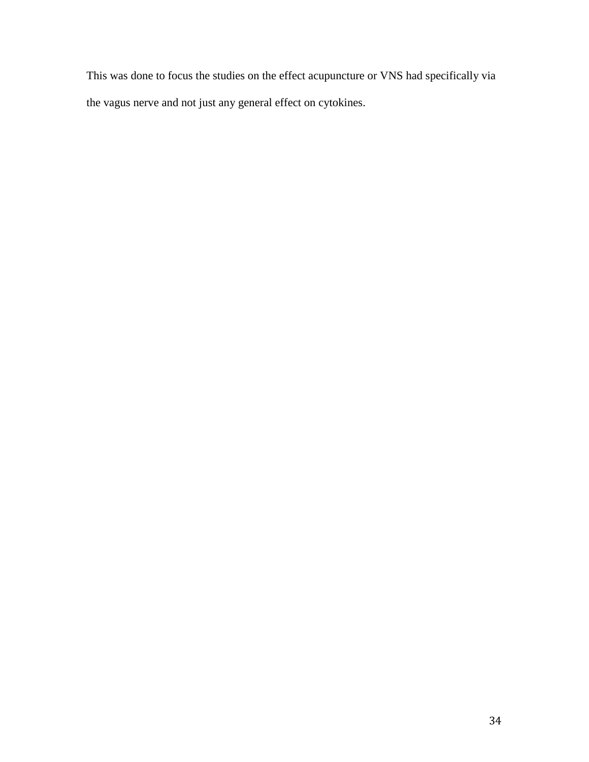This was done to focus the studies on the effect acupuncture or VNS had specifically via the vagus nerve and not just any general effect on cytokines.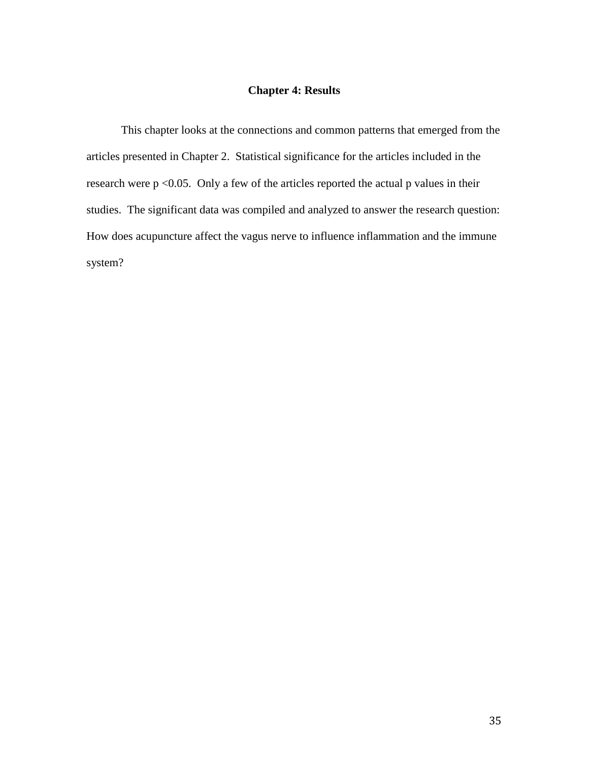## **Chapter 4: Results**

This chapter looks at the connections and common patterns that emerged from the articles presented in Chapter 2. Statistical significance for the articles included in the research were  $p < 0.05$ . Only a few of the articles reported the actual p values in their studies. The significant data was compiled and analyzed to answer the research question: How does acupuncture affect the vagus nerve to influence inflammation and the immune system?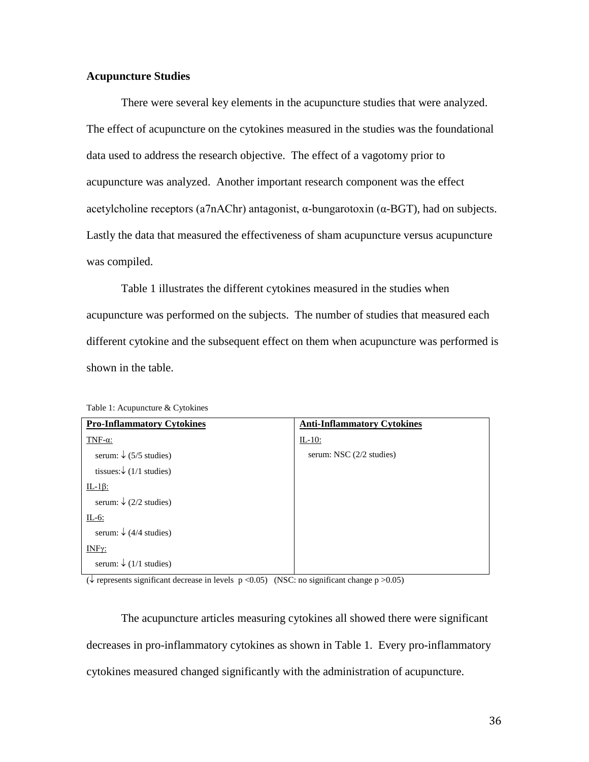#### **Acupuncture Studies**

There were several key elements in the acupuncture studies that were analyzed. The effect of acupuncture on the cytokines measured in the studies was the foundational data used to address the research objective. The effect of a vagotomy prior to acupuncture was analyzed. Another important research component was the effect acetylcholine receptors (a7nAChr) antagonist, α-bungarotoxin (α-BGT), had on subjects. Lastly the data that measured the effectiveness of sham acupuncture versus acupuncture was compiled.

Table 1 illustrates the different cytokines measured in the studies when acupuncture was performed on the subjects. The number of studies that measured each different cytokine and the subsequent effect on them when acupuncture was performed is shown in the table.

| <b>Pro-Inflammatory Cytokines</b>       | <b>Anti-Inflammatory Cytokines</b> |
|-----------------------------------------|------------------------------------|
| TNF- $\alpha$ :                         | $IL-10$ :                          |
| serum: $\sqrt{(5/5 \text{ studies})}$   | serum: NSC $(2/2 \text{ studies})$ |
| tissues: $\sqrt{(1/1 \text{ studies})}$ |                                    |
| $IL-1\beta$ :                           |                                    |
| serum: $\sqrt{(2/2 \text{ studies})}$   |                                    |
| $IL-6$ :                                |                                    |
| serum: $\sqrt{(4/4 \text{ studies})}$   |                                    |
| $INF\gamma$ :                           |                                    |
| serum: $\sqrt{(1/1 \text{ studies})}$   |                                    |

Table 1: Acupuncture & Cytokines

 $(\downarrow$  represents significant decrease in levels  $p < 0.05$ ) (NSC: no significant change  $p > 0.05$ )

The acupuncture articles measuring cytokines all showed there were significant decreases in pro-inflammatory cytokines as shown in Table 1. Every pro-inflammatory cytokines measured changed significantly with the administration of acupuncture.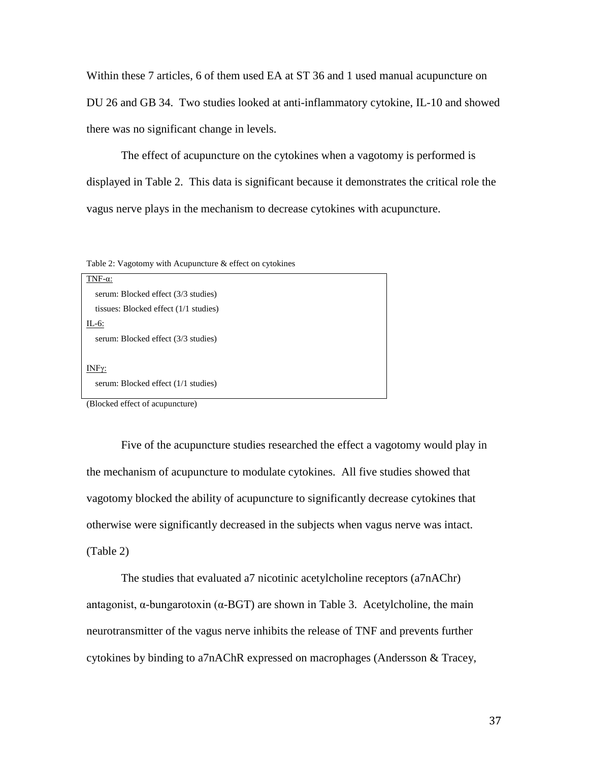Within these 7 articles, 6 of them used EA at ST 36 and 1 used manual acupuncture on DU 26 and GB 34. Two studies looked at anti-inflammatory cytokine, IL-10 and showed there was no significant change in levels.

The effect of acupuncture on the cytokines when a vagotomy is performed is displayed in Table 2. This data is significant because it demonstrates the critical role the vagus nerve plays in the mechanism to decrease cytokines with acupuncture.

Table 2: Vagotomy with Acupuncture & effect on cytokines

| TNF- $\alpha$ :                       |
|---------------------------------------|
| serum: Blocked effect (3/3 studies)   |
| tissues: Blocked effect (1/1 studies) |
| $IL-6$ :                              |
| serum: Blocked effect (3/3 studies)   |
|                                       |
| INFγ:                                 |
| serum: Blocked effect (1/1 studies)   |
|                                       |

(Blocked effect of acupuncture)

Five of the acupuncture studies researched the effect a vagotomy would play in the mechanism of acupuncture to modulate cytokines. All five studies showed that vagotomy blocked the ability of acupuncture to significantly decrease cytokines that otherwise were significantly decreased in the subjects when vagus nerve was intact. (Table 2)

The studies that evaluated a7 nicotinic acetylcholine receptors (a7nAChr) antagonist,  $\alpha$ -bungarotoxin ( $\alpha$ -BGT) are shown in Table 3. Acetylcholine, the main neurotransmitter of the vagus nerve inhibits the release of TNF and prevents further cytokines by binding to a7nAChR expressed on macrophages (Andersson & Tracey,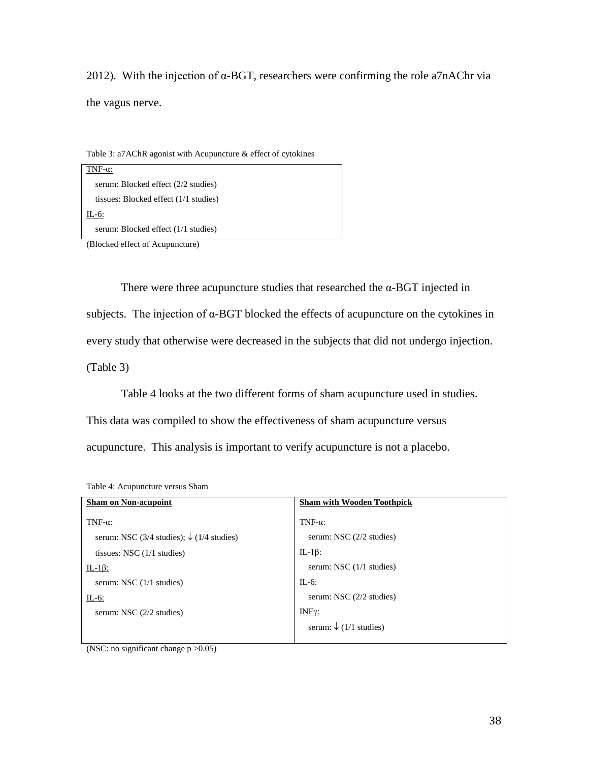2012). With the injection of  $\alpha$ -BGT, researchers were confirming the role a7nAChr via the vagus nerve.

Table 3: a7AChR agonist with Acupuncture & effect of cytokines

| TNF- $\alpha$ :                         |  |
|-----------------------------------------|--|
| serum: Blocked effect (2/2 studies)     |  |
| tissues: Blocked effect $(1/1$ studies) |  |
| IL-6:                                   |  |
| serum: Blocked effect (1/1 studies)     |  |

(Blocked effect of Acupuncture)

There were three acupuncture studies that researched the  $\alpha$ -BGT injected in subjects. The injection of  $\alpha$ -BGT blocked the effects of acupuncture on the cytokines in every study that otherwise were decreased in the subjects that did not undergo injection. (Table 3)

Table 4 looks at the two different forms of sham acupuncture used in studies.

This data was compiled to show the effectiveness of sham acupuncture versus

acupuncture. This analysis is important to verify acupuncture is not a placebo.

| <b>Sham on Non-acupoint</b>                                | <b>Sham with Wooden Toothpick</b>     |
|------------------------------------------------------------|---------------------------------------|
| TNF- $\alpha$ :                                            | TNF- $\alpha$ :                       |
| serum: NSC (3/4 studies); $\sqrt{(1/4 \text{ studies})^2}$ | serum: NSC $(2/2 \text{ studies})$    |
| tissues: NSC $(1/1$ studies)                               | IL-1 $\beta$ :                        |
| IL-1 $\beta$ :                                             | serum: NSC $(1/1$ studies)            |
| serum: NSC $(1/1$ studies)                                 | $IL-6$ :                              |
| $IL-6$ :                                                   | serum: NSC $(2/2 \text{ studies})$    |
| serum: NSC $(2/2 \times 1)$                                | $INF\gamma$ :                         |
|                                                            | serum: $\sqrt{(1/1 \text{ studies})}$ |
|                                                            |                                       |

Table 4: Acupuncture versus Sham

(NSC: no significant change  $p > 0.05$ )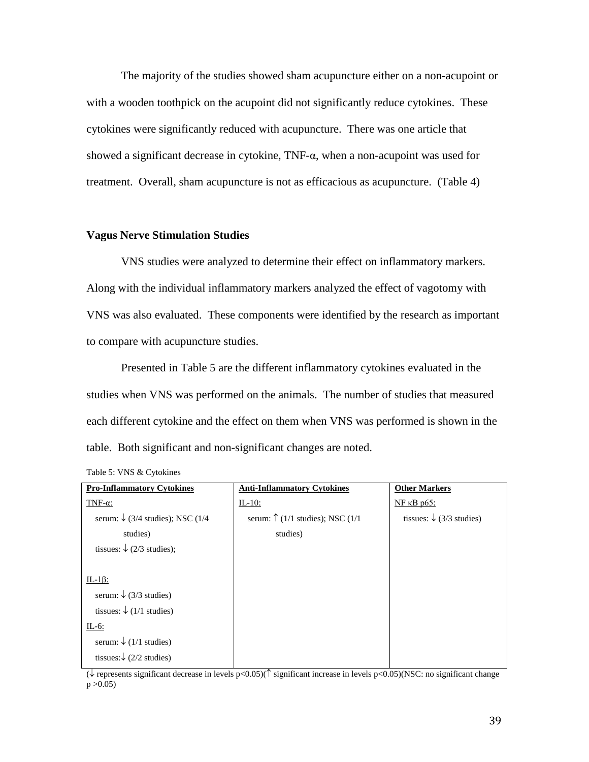The majority of the studies showed sham acupuncture either on a non-acupoint or with a wooden toothpick on the acupoint did not significantly reduce cytokines. These cytokines were significantly reduced with acupuncture. There was one article that showed a significant decrease in cytokine,  $TNF-\alpha$ , when a non-acupoint was used for treatment. Overall, sham acupuncture is not as efficacious as acupuncture. (Table 4)

#### **Vagus Nerve Stimulation Studies**

VNS studies were analyzed to determine their effect on inflammatory markers. Along with the individual inflammatory markers analyzed the effect of vagotomy with VNS was also evaluated. These components were identified by the research as important to compare with acupuncture studies.

Presented in Table 5 are the different inflammatory cytokines evaluated in the studies when VNS was performed on the animals. The number of studies that measured each different cytokine and the effect on them when VNS was performed is shown in the table. Both significant and non-significant changes are noted.

| <b>Pro-Inflammatory Cytokines</b>                | <b>Anti-Inflammatory Cytokines</b>        | <b>Other Markers</b>                    |
|--------------------------------------------------|-------------------------------------------|-----------------------------------------|
| TNF- $\alpha$ :                                  | $IL-10$ :                                 | $NF$ $\kappa B$ $p65$ :                 |
| serum: $\sqrt{(3/4 \text{ studies})}$ ; NSC (1/4 | serum: $\uparrow$ (1/1 studies); NSC (1/1 | tissues: $\sqrt{(3/3 \text{ studies})}$ |
| studies)                                         | studies)                                  |                                         |
| tissues: $\sqrt{(2/3 \text{ studies})}$ ;        |                                           |                                         |
|                                                  |                                           |                                         |
| IL-1 $\beta$ :                                   |                                           |                                         |
| serum: $\sqrt{(3/3 \text{ studies})}$            |                                           |                                         |
| tissues: $\sqrt{(1/1 \text{ studies})}$          |                                           |                                         |
| $IL-6$ :                                         |                                           |                                         |
| serum: $\sqrt{(1/1 \text{ studies})}$            |                                           |                                         |
| tissues: $\sqrt{(2/2 \text{ studies})}$          |                                           |                                         |

Table 5: VNS & Cytokines

(↓ represents significant decrease in levels p<0.05)(↑ significant increase in levels p<0.05)(NSC: no significant change  $p > 0.05$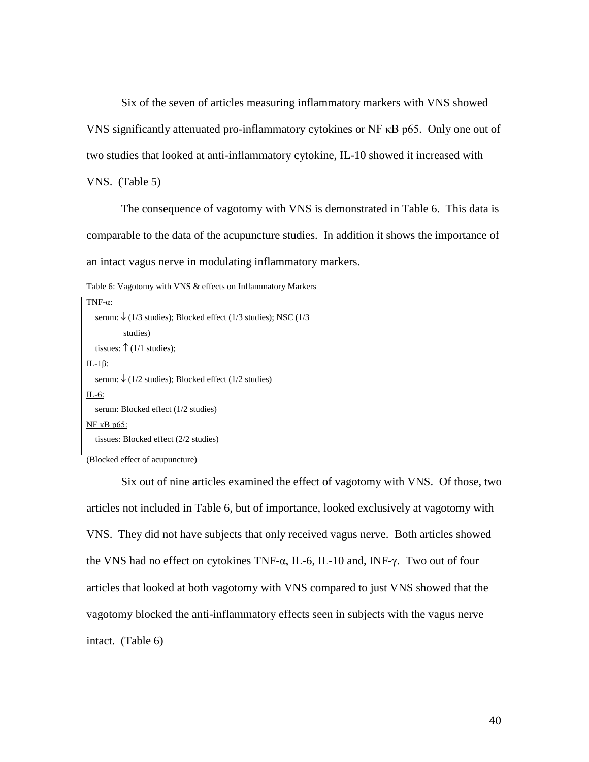Six of the seven of articles measuring inflammatory markers with VNS showed VNS significantly attenuated pro-inflammatory cytokines or NF κB p65. Only one out of two studies that looked at anti-inflammatory cytokine, IL-10 showed it increased with

VNS. (Table 5)

The consequence of vagotomy with VNS is demonstrated in Table 6. This data is comparable to the data of the acupuncture studies. In addition it shows the importance of an intact vagus nerve in modulating inflammatory markers.

Table 6: Vagotomy with VNS & effects on Inflammatory Markers

| $F-\alpha$ :                                                                   |
|--------------------------------------------------------------------------------|
| serum: $\sqrt{(1/3 \text{ studies})}$ ; Blocked effect (1/3 studies); NSC (1/3 |
| studies)                                                                       |
| tissues: $\uparrow$ (1/1 studies);                                             |
| $IL-1\beta$ :                                                                  |
| serum: $\sqrt{(1/2 \text{ studies})}$ ; Blocked effect (1/2 studies)           |
| $IL-6$ :                                                                       |
| serum: Blocked effect (1/2 studies)                                            |
| NF $\kappa$ B p65:                                                             |
| tissues: Blocked effect $(2/2 \text{ studies})$                                |
|                                                                                |

(Blocked effect of acupuncture)

Six out of nine articles examined the effect of vagotomy with VNS. Of those, two articles not included in Table 6, but of importance, looked exclusively at vagotomy with VNS. They did not have subjects that only received vagus nerve. Both articles showed the VNS had no effect on cytokines  $TNF-\alpha$ , IL-6, IL-10 and, INF- $\gamma$ . Two out of four articles that looked at both vagotomy with VNS compared to just VNS showed that the vagotomy blocked the anti-inflammatory effects seen in subjects with the vagus nerve intact. (Table 6)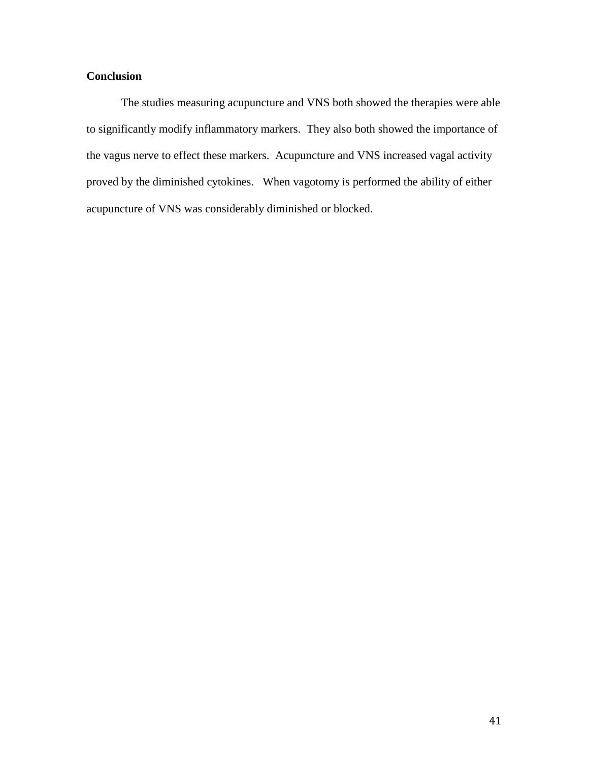## **Conclusion**

The studies measuring acupuncture and VNS both showed the therapies were able to significantly modify inflammatory markers. They also both showed the importance of the vagus nerve to effect these markers. Acupuncture and VNS increased vagal activity proved by the diminished cytokines. When vagotomy is performed the ability of either acupuncture of VNS was considerably diminished or blocked.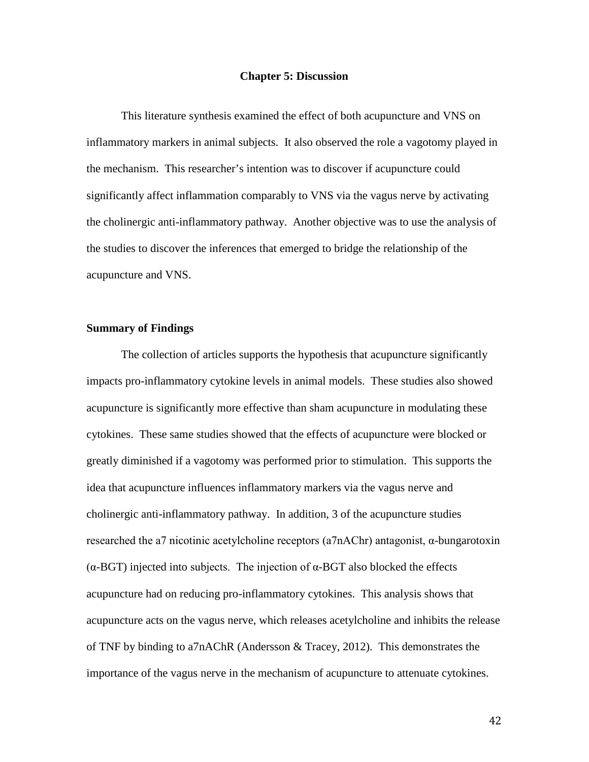#### **Chapter 5: Discussion**

This literature synthesis examined the effect of both acupuncture and VNS on inflammatory markers in animal subjects. It also observed the role a vagotomy played in the mechanism. This researcher's intention was to discover if acupuncture could significantly affect inflammation comparably to VNS via the vagus nerve by activating the cholinergic anti-inflammatory pathway. Another objective was to use the analysis of the studies to discover the inferences that emerged to bridge the relationship of the acupuncture and VNS.

#### **Summary of Findings**

The collection of articles supports the hypothesis that acupuncture significantly impacts pro-inflammatory cytokine levels in animal models. These studies also showed acupuncture is significantly more effective than sham acupuncture in modulating these cytokines. These same studies showed that the effects of acupuncture were blocked or greatly diminished if a vagotomy was performed prior to stimulation. This supports the idea that acupuncture influences inflammatory markers via the vagus nerve and cholinergic anti-inflammatory pathway. In addition, 3 of the acupuncture studies researched the a7 nicotinic acetylcholine receptors (a7nAChr) antagonist, α-bungarotoxin (α-BGT) injected into subjects. The injection of α-BGT also blocked the effects acupuncture had on reducing pro-inflammatory cytokines. This analysis shows that acupuncture acts on the vagus nerve, which releases acetylcholine and inhibits the release of TNF by binding to a7nAChR (Andersson & Tracey, 2012). This demonstrates the importance of the vagus nerve in the mechanism of acupuncture to attenuate cytokines.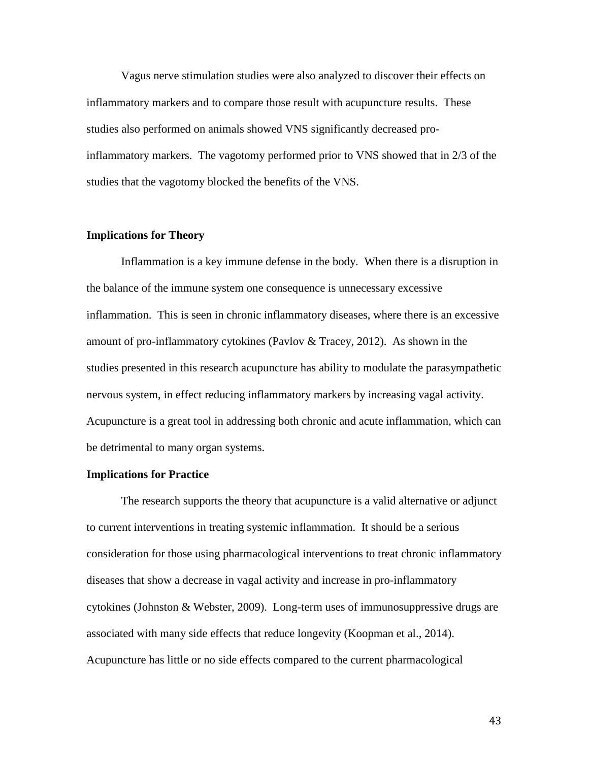Vagus nerve stimulation studies were also analyzed to discover their effects on inflammatory markers and to compare those result with acupuncture results. These studies also performed on animals showed VNS significantly decreased proinflammatory markers. The vagotomy performed prior to VNS showed that in 2/3 of the studies that the vagotomy blocked the benefits of the VNS.

#### **Implications for Theory**

Inflammation is a key immune defense in the body. When there is a disruption in the balance of the immune system one consequence is unnecessary excessive inflammation. This is seen in chronic inflammatory diseases, where there is an excessive amount of pro-inflammatory cytokines (Pavlov & Tracey, 2012). As shown in the studies presented in this research acupuncture has ability to modulate the parasympathetic nervous system, in effect reducing inflammatory markers by increasing vagal activity. Acupuncture is a great tool in addressing both chronic and acute inflammation, which can be detrimental to many organ systems.

#### **Implications for Practice**

The research supports the theory that acupuncture is a valid alternative or adjunct to current interventions in treating systemic inflammation. It should be a serious consideration for those using pharmacological interventions to treat chronic inflammatory diseases that show a decrease in vagal activity and increase in pro-inflammatory cytokines (Johnston & Webster, 2009). Long-term uses of immunosuppressive drugs are associated with many side effects that reduce longevity (Koopman et al., 2014). Acupuncture has little or no side effects compared to the current pharmacological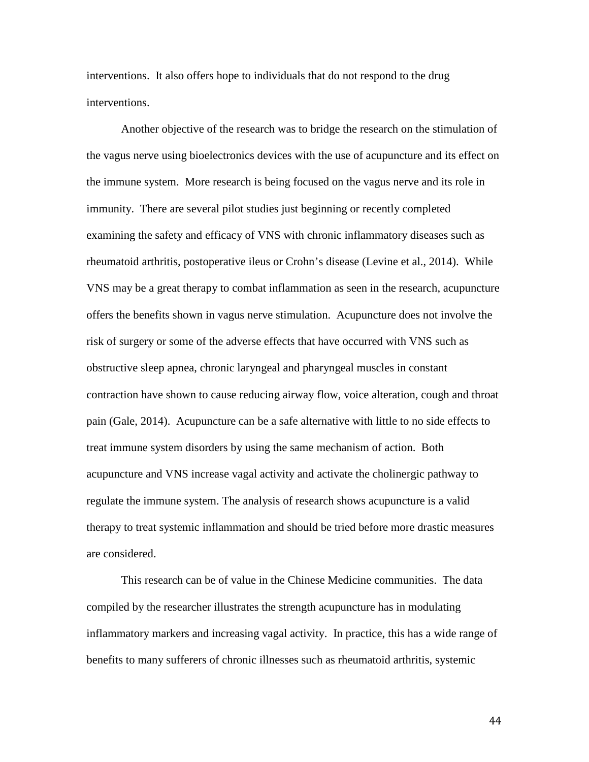interventions. It also offers hope to individuals that do not respond to the drug interventions.

Another objective of the research was to bridge the research on the stimulation of the vagus nerve using bioelectronics devices with the use of acupuncture and its effect on the immune system. More research is being focused on the vagus nerve and its role in immunity. There are several pilot studies just beginning or recently completed examining the safety and efficacy of VNS with chronic inflammatory diseases such as rheumatoid arthritis, postoperative ileus or Crohn's disease (Levine et al., 2014). While VNS may be a great therapy to combat inflammation as seen in the research, acupuncture offers the benefits shown in vagus nerve stimulation. Acupuncture does not involve the risk of surgery or some of the adverse effects that have occurred with VNS such as obstructive sleep apnea, chronic laryngeal and pharyngeal muscles in constant contraction have shown to cause reducing airway flow, voice alteration, cough and throat pain (Gale, 2014). Acupuncture can be a safe alternative with little to no side effects to treat immune system disorders by using the same mechanism of action. Both acupuncture and VNS increase vagal activity and activate the cholinergic pathway to regulate the immune system. The analysis of research shows acupuncture is a valid therapy to treat systemic inflammation and should be tried before more drastic measures are considered.

This research can be of value in the Chinese Medicine communities. The data compiled by the researcher illustrates the strength acupuncture has in modulating inflammatory markers and increasing vagal activity. In practice, this has a wide range of benefits to many sufferers of chronic illnesses such as rheumatoid arthritis, systemic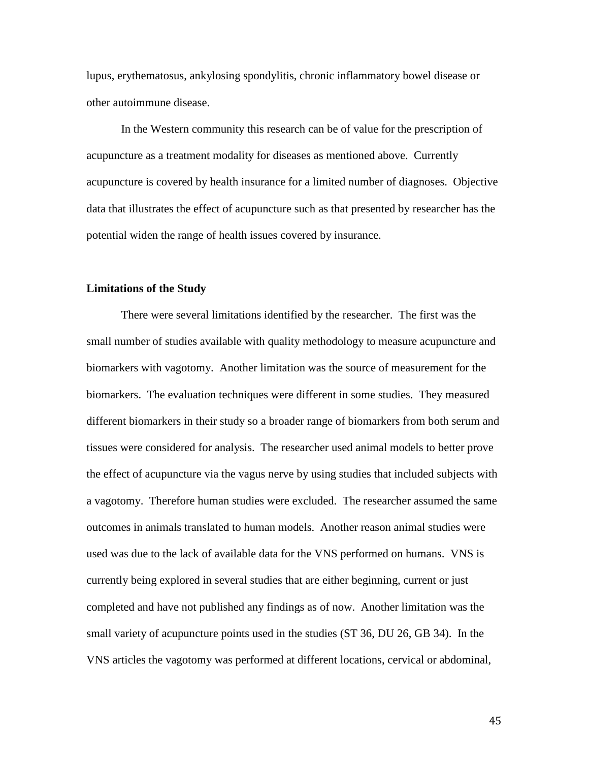lupus, erythematosus, ankylosing spondylitis, chronic inflammatory bowel disease or other autoimmune disease.

In the Western community this research can be of value for the prescription of acupuncture as a treatment modality for diseases as mentioned above. Currently acupuncture is covered by health insurance for a limited number of diagnoses. Objective data that illustrates the effect of acupuncture such as that presented by researcher has the potential widen the range of health issues covered by insurance.

#### **Limitations of the Study**

There were several limitations identified by the researcher. The first was the small number of studies available with quality methodology to measure acupuncture and biomarkers with vagotomy. Another limitation was the source of measurement for the biomarkers. The evaluation techniques were different in some studies. They measured different biomarkers in their study so a broader range of biomarkers from both serum and tissues were considered for analysis. The researcher used animal models to better prove the effect of acupuncture via the vagus nerve by using studies that included subjects with a vagotomy. Therefore human studies were excluded. The researcher assumed the same outcomes in animals translated to human models. Another reason animal studies were used was due to the lack of available data for the VNS performed on humans. VNS is currently being explored in several studies that are either beginning, current or just completed and have not published any findings as of now. Another limitation was the small variety of acupuncture points used in the studies (ST 36, DU 26, GB 34). In the VNS articles the vagotomy was performed at different locations, cervical or abdominal,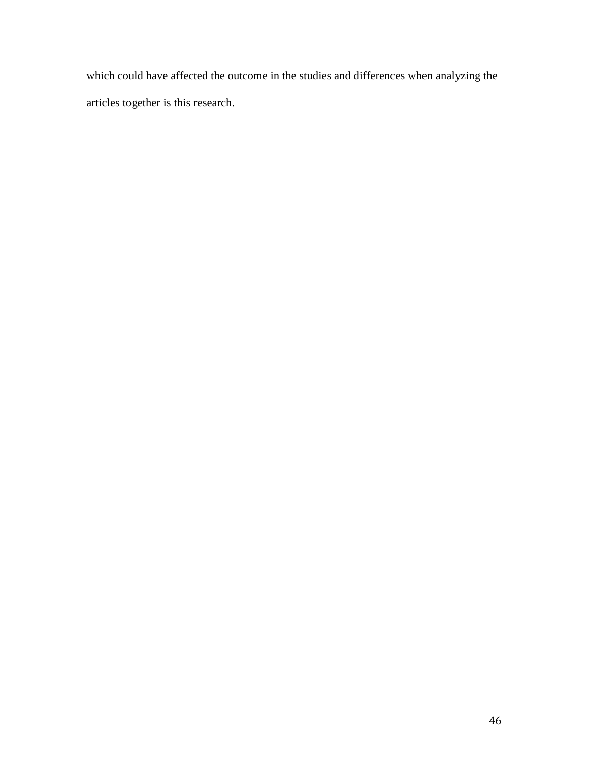which could have affected the outcome in the studies and differences when analyzing the articles together is this research.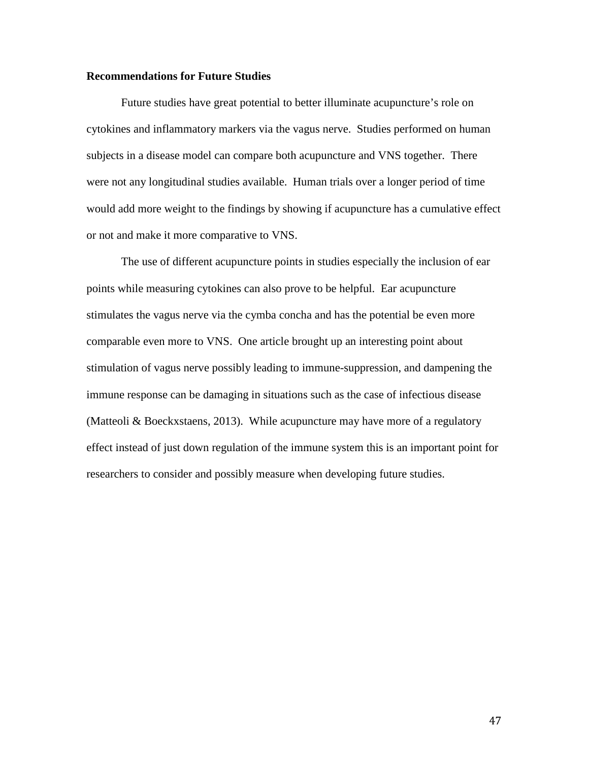#### **Recommendations for Future Studies**

Future studies have great potential to better illuminate acupuncture's role on cytokines and inflammatory markers via the vagus nerve. Studies performed on human subjects in a disease model can compare both acupuncture and VNS together. There were not any longitudinal studies available. Human trials over a longer period of time would add more weight to the findings by showing if acupuncture has a cumulative effect or not and make it more comparative to VNS.

The use of different acupuncture points in studies especially the inclusion of ear points while measuring cytokines can also prove to be helpful. Ear acupuncture stimulates the vagus nerve via the cymba concha and has the potential be even more comparable even more to VNS. One article brought up an interesting point about stimulation of vagus nerve possibly leading to immune-suppression, and dampening the immune response can be damaging in situations such as the case of infectious disease (Matteoli & Boeckxstaens, 2013). While acupuncture may have more of a regulatory effect instead of just down regulation of the immune system this is an important point for researchers to consider and possibly measure when developing future studies.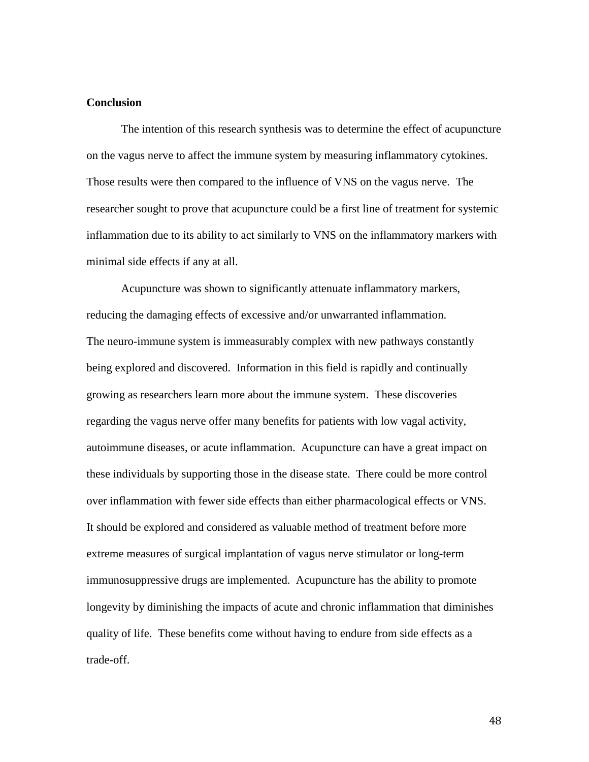### **Conclusion**

The intention of this research synthesis was to determine the effect of acupuncture on the vagus nerve to affect the immune system by measuring inflammatory cytokines. Those results were then compared to the influence of VNS on the vagus nerve. The researcher sought to prove that acupuncture could be a first line of treatment for systemic inflammation due to its ability to act similarly to VNS on the inflammatory markers with minimal side effects if any at all.

Acupuncture was shown to significantly attenuate inflammatory markers, reducing the damaging effects of excessive and/or unwarranted inflammation. The neuro-immune system is immeasurably complex with new pathways constantly being explored and discovered. Information in this field is rapidly and continually growing as researchers learn more about the immune system. These discoveries regarding the vagus nerve offer many benefits for patients with low vagal activity, autoimmune diseases, or acute inflammation. Acupuncture can have a great impact on these individuals by supporting those in the disease state. There could be more control over inflammation with fewer side effects than either pharmacological effects or VNS. It should be explored and considered as valuable method of treatment before more extreme measures of surgical implantation of vagus nerve stimulator or long-term immunosuppressive drugs are implemented. Acupuncture has the ability to promote longevity by diminishing the impacts of acute and chronic inflammation that diminishes quality of life. These benefits come without having to endure from side effects as a trade-off.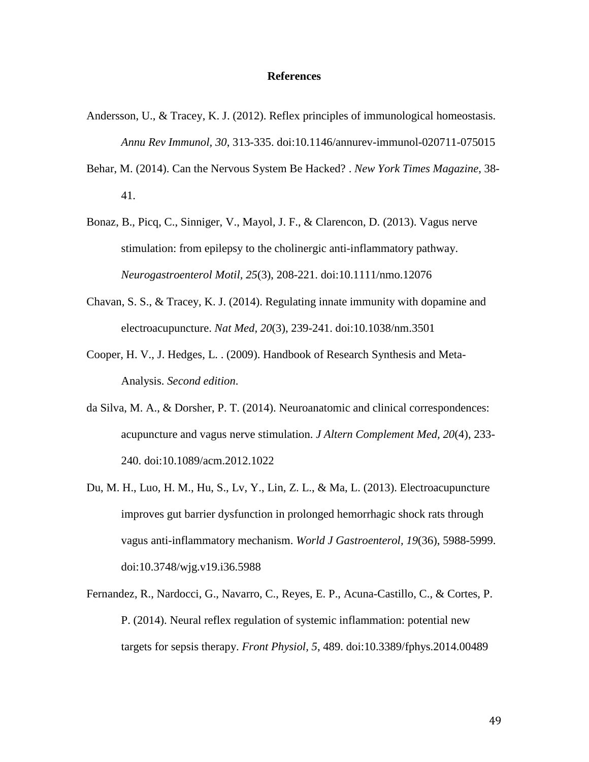#### **References**

- Andersson, U., & Tracey, K. J. (2012). Reflex principles of immunological homeostasis. *Annu Rev Immunol, 30*, 313-335. doi:10.1146/annurev-immunol-020711-075015
- Behar, M. (2014). Can the Nervous System Be Hacked? . *New York Times Magazine*, 38- 41.
- Bonaz, B., Picq, C., Sinniger, V., Mayol, J. F., & Clarencon, D. (2013). Vagus nerve stimulation: from epilepsy to the cholinergic anti-inflammatory pathway. *Neurogastroenterol Motil, 25*(3), 208-221. doi:10.1111/nmo.12076
- Chavan, S. S., & Tracey, K. J. (2014). Regulating innate immunity with dopamine and electroacupuncture. *Nat Med, 20*(3), 239-241. doi:10.1038/nm.3501
- Cooper, H. V., J. Hedges, L. . (2009). Handbook of Research Synthesis and Meta-Analysis. *Second edition*.
- da Silva, M. A., & Dorsher, P. T. (2014). Neuroanatomic and clinical correspondences: acupuncture and vagus nerve stimulation. *J Altern Complement Med, 20*(4), 233- 240. doi:10.1089/acm.2012.1022
- Du, M. H., Luo, H. M., Hu, S., Lv, Y., Lin, Z. L., & Ma, L. (2013). Electroacupuncture improves gut barrier dysfunction in prolonged hemorrhagic shock rats through vagus anti-inflammatory mechanism. *World J Gastroenterol, 19*(36), 5988-5999. doi:10.3748/wjg.v19.i36.5988
- Fernandez, R., Nardocci, G., Navarro, C., Reyes, E. P., Acuna-Castillo, C., & Cortes, P. P. (2014). Neural reflex regulation of systemic inflammation: potential new targets for sepsis therapy. *Front Physiol, 5*, 489. doi:10.3389/fphys.2014.00489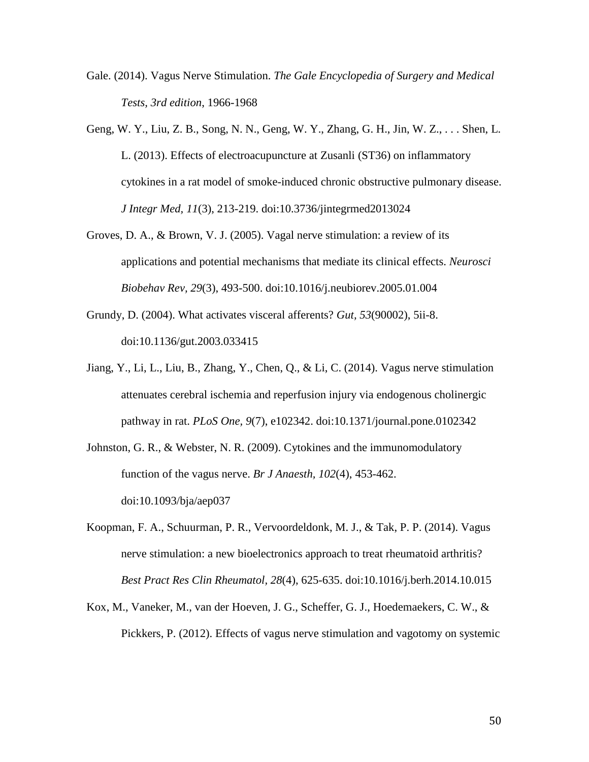- Gale. (2014). Vagus Nerve Stimulation. *The Gale Encyclopedia of Surgery and Medical Tests, 3rd edition*, 1966-1968
- Geng, W. Y., Liu, Z. B., Song, N. N., Geng, W. Y., Zhang, G. H., Jin, W. Z., . . . Shen, L. L. (2013). Effects of electroacupuncture at Zusanli (ST36) on inflammatory cytokines in a rat model of smoke-induced chronic obstructive pulmonary disease. *J Integr Med, 11*(3), 213-219. doi:10.3736/jintegrmed2013024
- Groves, D. A., & Brown, V. J. (2005). Vagal nerve stimulation: a review of its applications and potential mechanisms that mediate its clinical effects. *Neurosci Biobehav Rev, 29*(3), 493-500. doi:10.1016/j.neubiorev.2005.01.004
- Grundy, D. (2004). What activates visceral afferents? *Gut, 53*(90002), 5ii-8. doi:10.1136/gut.2003.033415
- Jiang, Y., Li, L., Liu, B., Zhang, Y., Chen, Q., & Li, C. (2014). Vagus nerve stimulation attenuates cerebral ischemia and reperfusion injury via endogenous cholinergic pathway in rat. *PLoS One, 9*(7), e102342. doi:10.1371/journal.pone.0102342
- Johnston, G. R., & Webster, N. R. (2009). Cytokines and the immunomodulatory function of the vagus nerve. *Br J Anaesth, 102*(4), 453-462. doi:10.1093/bja/aep037
- Koopman, F. A., Schuurman, P. R., Vervoordeldonk, M. J., & Tak, P. P. (2014). Vagus nerve stimulation: a new bioelectronics approach to treat rheumatoid arthritis? *Best Pract Res Clin Rheumatol, 28*(4), 625-635. doi:10.1016/j.berh.2014.10.015
- Kox, M., Vaneker, M., van der Hoeven, J. G., Scheffer, G. J., Hoedemaekers, C. W., & Pickkers, P. (2012). Effects of vagus nerve stimulation and vagotomy on systemic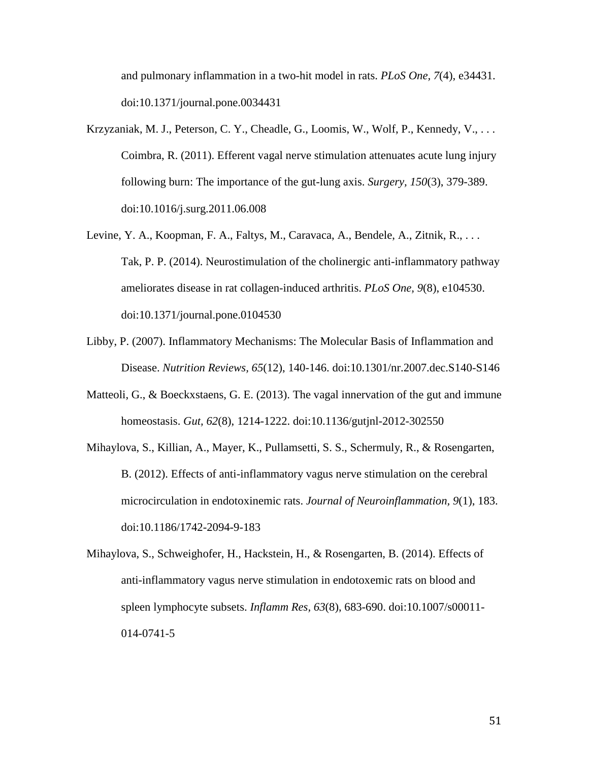and pulmonary inflammation in a two-hit model in rats. *PLoS One, 7*(4), e34431. doi:10.1371/journal.pone.0034431

- Krzyzaniak, M. J., Peterson, C. Y., Cheadle, G., Loomis, W., Wolf, P., Kennedy, V., . . . Coimbra, R. (2011). Efferent vagal nerve stimulation attenuates acute lung injury following burn: The importance of the gut-lung axis. *Surgery, 150*(3), 379-389. doi:10.1016/j.surg.2011.06.008
- Levine, Y. A., Koopman, F. A., Faltys, M., Caravaca, A., Bendele, A., Zitnik, R., ... Tak, P. P. (2014). Neurostimulation of the cholinergic anti-inflammatory pathway ameliorates disease in rat collagen-induced arthritis. *PLoS One, 9*(8), e104530. doi:10.1371/journal.pone.0104530
- Libby, P. (2007). Inflammatory Mechanisms: The Molecular Basis of Inflammation and Disease. *Nutrition Reviews, 65*(12), 140-146. doi:10.1301/nr.2007.dec.S140-S146
- Matteoli, G., & Boeckxstaens, G. E. (2013). The vagal innervation of the gut and immune homeostasis. *Gut, 62*(8), 1214-1222. doi:10.1136/gutjnl-2012-302550
- Mihaylova, S., Killian, A., Mayer, K., Pullamsetti, S. S., Schermuly, R., & Rosengarten, B. (2012). Effects of anti-inflammatory vagus nerve stimulation on the cerebral microcirculation in endotoxinemic rats. *Journal of Neuroinflammation, 9*(1), 183. doi:10.1186/1742-2094-9-183
- Mihaylova, S., Schweighofer, H., Hackstein, H., & Rosengarten, B. (2014). Effects of anti-inflammatory vagus nerve stimulation in endotoxemic rats on blood and spleen lymphocyte subsets. *Inflamm Res, 63*(8), 683-690. doi:10.1007/s00011- 014-0741-5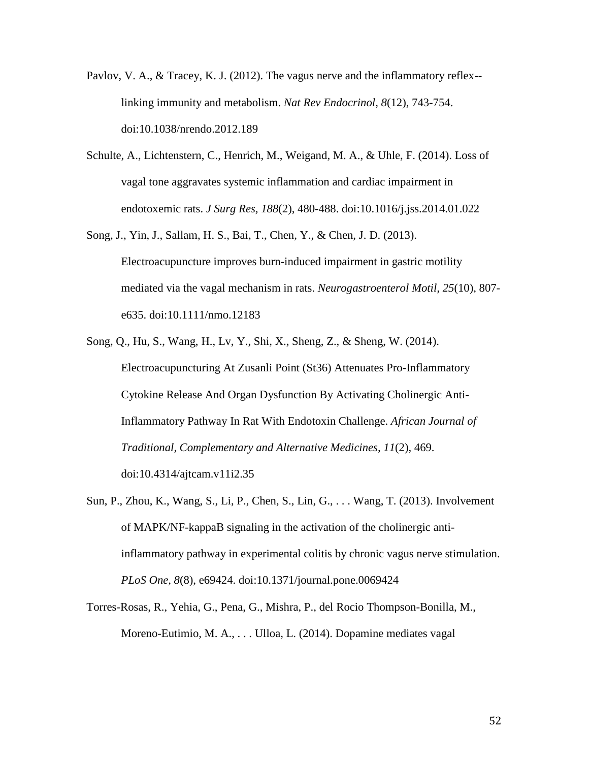- Pavlov, V. A., & Tracey, K. J. (2012). The vagus nerve and the inflammatory reflex- linking immunity and metabolism. *Nat Rev Endocrinol, 8*(12), 743-754. doi:10.1038/nrendo.2012.189
- Schulte, A., Lichtenstern, C., Henrich, M., Weigand, M. A., & Uhle, F. (2014). Loss of vagal tone aggravates systemic inflammation and cardiac impairment in endotoxemic rats. *J Surg Res, 188*(2), 480-488. doi:10.1016/j.jss.2014.01.022
- Song, J., Yin, J., Sallam, H. S., Bai, T., Chen, Y., & Chen, J. D. (2013). Electroacupuncture improves burn-induced impairment in gastric motility mediated via the vagal mechanism in rats. *Neurogastroenterol Motil, 25*(10), 807 e635. doi:10.1111/nmo.12183
- Song, Q., Hu, S., Wang, H., Lv, Y., Shi, X., Sheng, Z., & Sheng, W. (2014). Electroacupuncturing At Zusanli Point (St36) Attenuates Pro-Inflammatory Cytokine Release And Organ Dysfunction By Activating Cholinergic Anti-Inflammatory Pathway In Rat With Endotoxin Challenge. *African Journal of Traditional, Complementary and Alternative Medicines, 11*(2), 469. doi:10.4314/ajtcam.v11i2.35
- Sun, P., Zhou, K., Wang, S., Li, P., Chen, S., Lin, G., . . . Wang, T. (2013). Involvement of MAPK/NF-kappaB signaling in the activation of the cholinergic antiinflammatory pathway in experimental colitis by chronic vagus nerve stimulation. *PLoS One, 8*(8), e69424. doi:10.1371/journal.pone.0069424
- Torres-Rosas, R., Yehia, G., Pena, G., Mishra, P., del Rocio Thompson-Bonilla, M., Moreno-Eutimio, M. A., . . . Ulloa, L. (2014). Dopamine mediates vagal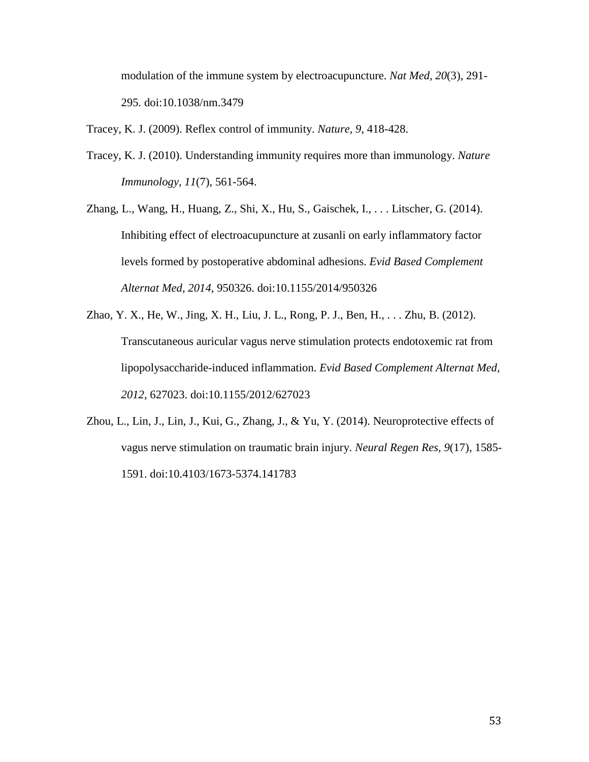modulation of the immune system by electroacupuncture. *Nat Med, 20*(3), 291- 295. doi:10.1038/nm.3479

Tracey, K. J. (2009). Reflex control of immunity. *Nature, 9*, 418-428.

- Tracey, K. J. (2010). Understanding immunity requires more than immunology. *Nature Immunology, 11*(7), 561-564.
- Zhang, L., Wang, H., Huang, Z., Shi, X., Hu, S., Gaischek, I., . . . Litscher, G. (2014). Inhibiting effect of electroacupuncture at zusanli on early inflammatory factor levels formed by postoperative abdominal adhesions. *Evid Based Complement Alternat Med, 2014*, 950326. doi:10.1155/2014/950326
- Zhao, Y. X., He, W., Jing, X. H., Liu, J. L., Rong, P. J., Ben, H., . . . Zhu, B. (2012). Transcutaneous auricular vagus nerve stimulation protects endotoxemic rat from lipopolysaccharide-induced inflammation. *Evid Based Complement Alternat Med, 2012*, 627023. doi:10.1155/2012/627023
- Zhou, L., Lin, J., Lin, J., Kui, G., Zhang, J., & Yu, Y. (2014). Neuroprotective effects of vagus nerve stimulation on traumatic brain injury. *Neural Regen Res, 9*(17), 1585- 1591. doi:10.4103/1673-5374.141783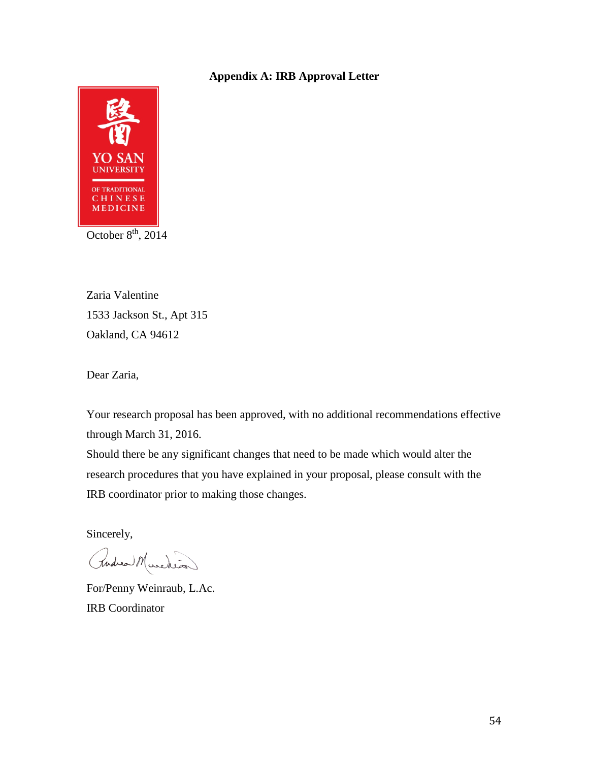### **Appendix A: IRB Approval Letter**



Zaria Valentine 1533 Jackson St., Apt 315 Oakland, CA 94612

Dear Zaria,

Your research proposal has been approved, with no additional recommendations effective through March 31, 2016.

Should there be any significant changes that need to be made which would alter the research procedures that you have explained in your proposal, please consult with the IRB coordinator prior to making those changes.

Sincerely,

Rudica Murchion

For/Penny Weinraub, L.Ac. IRB Coordinator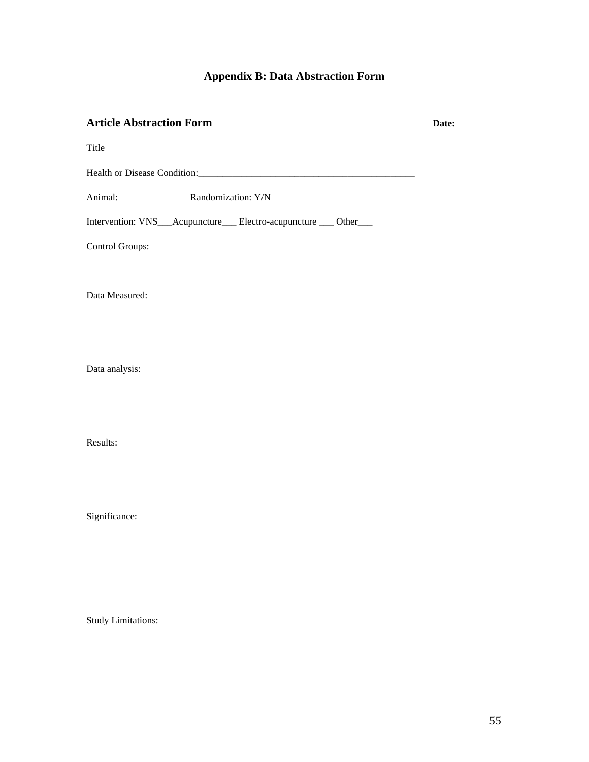## **Appendix B: Data Abstraction Form**

### **Article Abstraction Form Date:**

Title

Health or Disease Condition:\_\_\_\_\_\_\_\_\_\_\_\_\_\_\_\_\_\_\_\_\_\_\_\_\_\_\_\_\_\_\_\_\_\_\_\_\_\_\_\_\_\_\_\_\_

Animal: Randomization: Y/N

Intervention: VNS\_\_\_Acupuncture\_\_\_ Electro-acupuncture \_\_\_ Other\_\_\_

Control Groups:

Data Measured:

Data analysis:

Results:

Significance:

Study Limitations: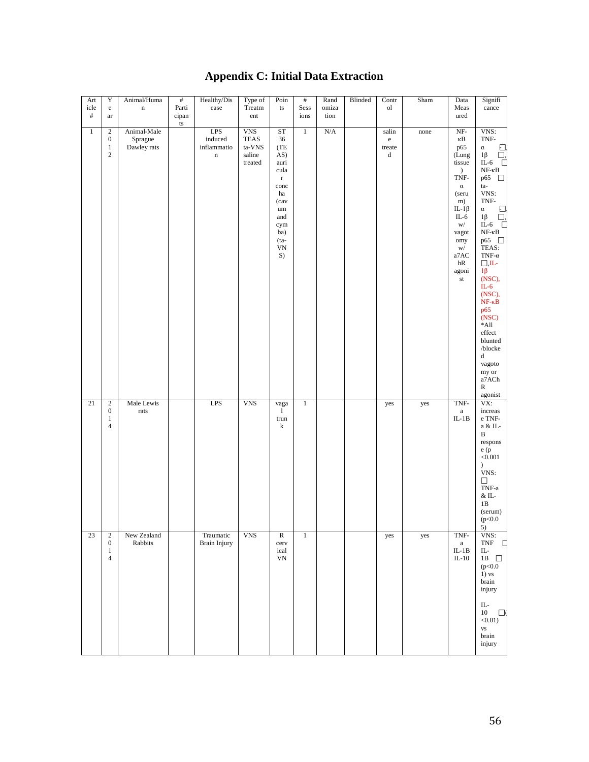# **Appendix C: Initial Data Extraction**

| Art<br>icle          | $\mathbf Y$<br>${\bf e}$                                                                  | Animal/Huma<br>$\mathbf n$            | $\#$<br>Parti                 | Healthy/Dis<br>ease                                                  | Type of<br>Treatm                                        | Poin<br>ts                                                                                                                                        | $\#$<br>Sess         | Rand<br>omiza     | Blinded | Contr<br><sub>o</sub>           | ${\rm Sham}$ | Data<br>Meas                                                                                                                                                                                 | Signifi<br>cance                                                                                                                                                                                                                                                                                                                                                                                                              |
|----------------------|-------------------------------------------------------------------------------------------|---------------------------------------|-------------------------------|----------------------------------------------------------------------|----------------------------------------------------------|---------------------------------------------------------------------------------------------------------------------------------------------------|----------------------|-------------------|---------|---------------------------------|--------------|----------------------------------------------------------------------------------------------------------------------------------------------------------------------------------------------|-------------------------------------------------------------------------------------------------------------------------------------------------------------------------------------------------------------------------------------------------------------------------------------------------------------------------------------------------------------------------------------------------------------------------------|
| $\#$<br>$\mathbf{1}$ | $\operatorname{ar}$<br>$\boldsymbol{2}$<br>$\boldsymbol{0}$<br>$\mathbf{1}$<br>$\sqrt{2}$ | Animal-Male<br>Sprague<br>Dawley rats | cipan<br>$\mathop{\text{ts}}$ | $\ensuremath{\mathrm{LPS}}$<br>induced<br>inflammatio<br>$\mathbf n$ | ent<br><b>VNS</b><br>TEAS<br>ta-VNS<br>saline<br>treated | ${\rm ST}$<br>36<br>(TE<br>AS)<br>auri<br>cula<br>$\mathbf r$<br>conc<br>ha<br>(cav<br>$\,$ um<br>and<br>cym<br>ba)<br>$(ta-$<br>${\rm VN}$<br>S) | ions<br>$\mathbf{1}$ | tion<br>$\rm N/A$ |         | salin<br>$\rm e$<br>treate<br>d | none         | ured<br>$_{\rm NF^-}$<br>κB<br>p65<br>(Lung<br>tissue<br>$\mathcal{L}$<br>TNF-<br>$\alpha$<br>(seru<br>m)<br>IL-1 $\beta$<br>$IL-6$<br>W/<br>vagot<br>omy<br>W/<br>a7AC<br>hR<br>agoni<br>st | VNS:<br>TNF-<br>$\frac{\Box}{\Box}$<br>$\alpha$<br>$1\beta$<br>$IL-6$<br>$NF$ - $\kappa B$<br>p65 $\Box$<br>ta-<br>VNS:<br>TNF-<br>$\alpha$<br>$\Xi$<br>$1\beta$<br>IL-6 $\square$<br>$NF- \kappa B$<br>p65 $\Box$<br>TEAS:<br>TNF- $\alpha$<br>$\Box$ ,IL-<br>$1\beta$<br>(NSC),<br>$IL-6$<br>(NSC),<br>$NF - \kappa B$<br>p65<br>(NSC)<br>$\rm ^*All$<br>effect<br>blunted<br>/blocke<br>d<br>vagoto<br>my or<br>a7ACh<br>R |
| 21                   | $\sqrt{2}$<br>$\boldsymbol{0}$<br>$\mathbf{1}$<br>$\overline{4}$                          | Male Lewis<br>$\operatorname{rats}$   |                               | LPS                                                                  | <b>VNS</b>                                               | vaga<br>$\mathbf{1}$<br>trun<br>k                                                                                                                 | $\,1$                |                   |         | yes                             | yes          | TNF-<br>$\mathbf{a}$<br>$IL-1B$                                                                                                                                                              | agonist<br>VX:<br>increas<br>$\rm e$ TNF-<br>a & IL-<br>B<br>respons<br>$e\ (p$<br>< 0.001<br>$\mathcal{L}$<br>VNS:<br>□<br>$\mbox{TNF-a}$<br>$\&$ IL-<br>1B<br>(serum)<br>(p<0.0)<br>5)                                                                                                                                                                                                                                      |
| 23                   | $\sqrt{2}$<br>$\boldsymbol{0}$<br>$\,1$<br>$\overline{4}$                                 | New Zealand<br>Rabbits                |                               | Traumatic<br><b>Brain Injury</b>                                     | <b>VNS</b>                                               | $\mathbb R$<br>cerv<br>ical<br>VN                                                                                                                 | $\mathbf{1}$         |                   |         | yes                             | yes          | $\mbox{TNF}-$<br>$\mathbf{a}$<br>$IL-1B$<br>$IL-10$                                                                                                                                          | VNS:<br>$\ensuremath{\mathsf{TNF}}$<br>$\Box$<br>$\rm IL$ -<br>1B $\quad \Box$<br>(p<0.0<br>$1)$ vs<br>brain<br>injury<br>$\rm IL$ -<br>$10\,$<br>$\Box$<br>$<0.01$ )<br><b>VS</b><br>brain<br>injury                                                                                                                                                                                                                         |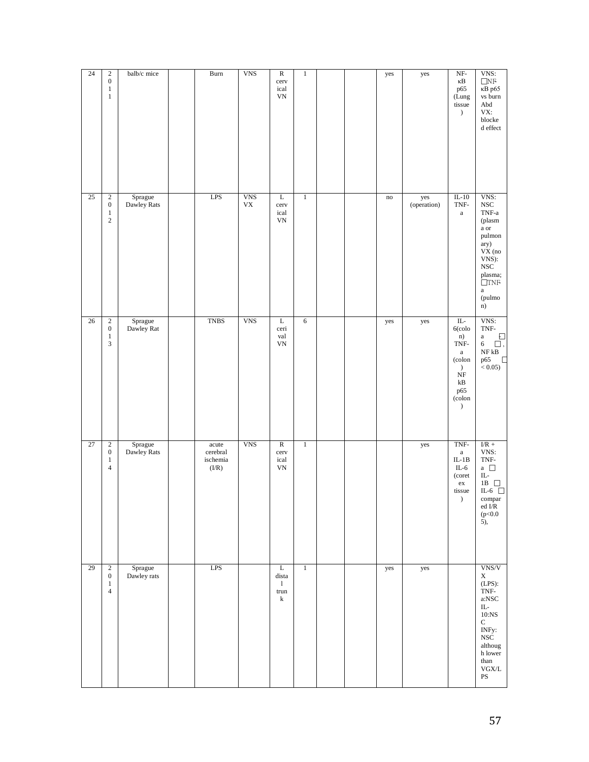| 24 | $\sqrt{2}$<br>$\boldsymbol{0}$<br>$\mathbf{1}$<br>$\,1$              | balb/c mice            | <b>Burn</b>                            | <b>VNS</b>                     | $\overline{\text{R}}$<br>cerv<br>ical<br>$\ensuremath{\text{VN}}\xspace$ | $\,1\,$      |  | yes                    | yes                | $NF-$<br>κB<br>p65<br>(Lung<br>tissue<br>$\mathcal{L}$                                                                                              | VNS:<br>$\underset{\kappa \text{B}}{\square} \text{NF}$<br>vs burn<br>$\operatorname{\mathsf{Abd}}$<br>VX:<br>$\operatorname{block}$<br>${\rm d}$ effect                                                                                                 |
|----|----------------------------------------------------------------------|------------------------|----------------------------------------|--------------------------------|--------------------------------------------------------------------------|--------------|--|------------------------|--------------------|-----------------------------------------------------------------------------------------------------------------------------------------------------|----------------------------------------------------------------------------------------------------------------------------------------------------------------------------------------------------------------------------------------------------------|
| 25 | $\sqrt{2}$<br>$\boldsymbol{0}$<br>$\mathbf{1}$<br>$\sqrt{2}$         | Sprague<br>Dawley Rats | LPS                                    | <b>VNS</b><br>${\rm V}{\rm X}$ | L<br>cerv<br>ical<br>VN                                                  | $\mathbf{1}$ |  | $\mathop{\mathrm{no}}$ | yes<br>(operation) | $IL-10$<br>TNF-<br>$\mathbf{a}$                                                                                                                     | VNS:<br>$_{\rm NSC}$<br>$\mbox{TNF-a}$<br>(plasm<br>$\rm{a}$ or<br>pulmon<br>ary)<br>$VX$ (no<br>VNS):<br>$_{\rm NSC}$<br>plasma;<br>$\Box$ TNF<br>$\rm{a}$<br>(pulmo<br>n)                                                                              |
| 26 | $\sqrt{2}$<br>$\boldsymbol{0}$<br>$\,1\,$<br>$\sqrt{3}$              | Sprague<br>Dawley Rat  | <b>TNBS</b>                            | <b>VNS</b>                     | L<br>ceri<br>val<br>${\rm VN}$                                           | $\sqrt{6}$   |  | yes                    | yes                | $IL -$<br>$6$ (colo<br>n)<br>TNF-<br>$\mathbf{a}$<br>(colon<br>$\mathcal{L}$<br>$_{\rm NF}$<br>$\mathbf{k}\mathbf{B}$<br>p65<br>(colon<br>$\lambda$ | VNS:<br>$\mbox{TNF-}$<br>Đ<br>$\rm{a}$<br>6<br>$\square$ ,<br>$\rm NF\,kB$<br>p65<br>다<br>< 0.05)                                                                                                                                                        |
| 27 | $\sqrt{2}$<br>$\boldsymbol{0}$<br>$\mathbf{1}$<br>$\overline{4}$     | Sprague<br>Dawley Rats | acute<br>cerebral<br>ischemia<br>(I/R) | <b>VNS</b>                     | $\overline{\text{R}}$<br>cerv<br>ical<br>${\rm VN}$                      | $\,1$        |  |                        | yes                | TNF-<br>$\mathbf{a}$<br>$IL-1B$<br>$IL-6$<br>(coret<br>${\rm ex}$<br>tissue<br>$\lambda$                                                            | $\ensuremath{\text{I/R}}$ +<br>VNS:<br>$\mbox{TNF-}$<br>a $\quad \Box$<br>$\rm IL$ -<br>1B $\hfill \Box$<br>IL-6 $\hfill\square$<br>$\mathop{\rm compar}\limits_{\rm ed\; I/R}$<br>(p<0.0<br>$\overline{5}$ ),                                           |
| 29 | $\overline{c}$<br>$\boldsymbol{0}$<br>$\mathbf{1}$<br>$\overline{4}$ | Sprague<br>Dawley rats | LPS                                    |                                | L<br>dista<br>$\mathbf{1}$<br>trun<br>$\bf k$                            | $\mathbf{1}$ |  | yes                    | yes                |                                                                                                                                                     | VNS/V<br>$\mathbf X$<br>$(LPS)$ :<br>TNF-<br>$\operatorname{a:NSC}$<br>$\rm IL$ -<br>$10:\!NS$<br>${\bf C}$<br>INFy:<br><b>NSC</b><br>althoug<br>${\hbox{h}}$ lower<br>$_{\rm than}$<br>$\ensuremath{\mathsf{VGX}/\mathsf{L}}$<br>$\mathbf{P}\mathbf{S}$ |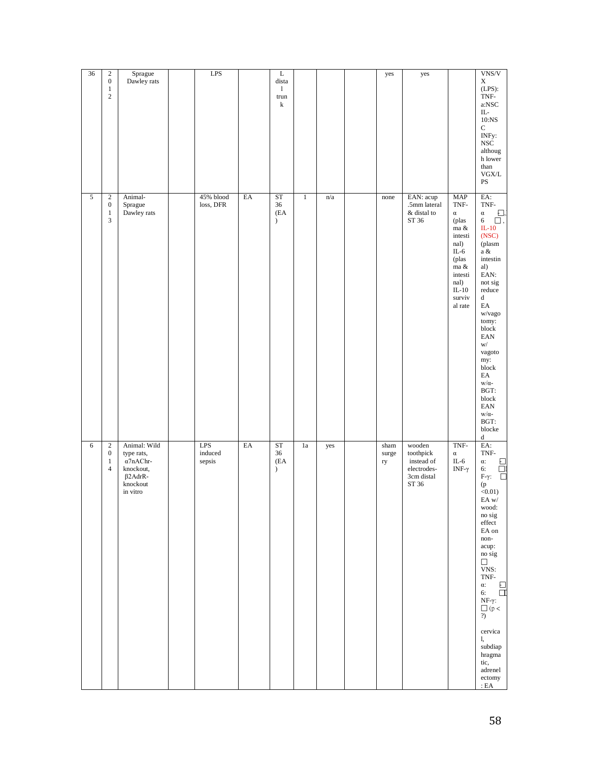| $\sqrt{2}$<br>Sprague<br><b>LPS</b><br>$\Gamma$<br>$\boldsymbol{0}$<br>Dawley rats<br>dista<br>X<br>$(LPS)$ :<br>$\mathbf{1}$<br>$\mathbf{1}$<br>$\sqrt{2}$<br>TNF-<br>trun<br>k<br>a:NSC<br>IL-<br>$10:$ NS<br>${\bf C}$<br>INFy:<br><b>NSC</b><br>althoug<br>h lower<br>than<br>${\rm VGX}/{\rm L}$<br>$\mathbf{P}\mathbf{S}$<br>$\overline{5}$<br>45% blood<br>EA<br>ST<br>EA:<br>$\sqrt{2}$<br>Animal-<br>$\mathrm{n}/\mathrm{a}$<br>EAN: acup<br>$\ensuremath{\mathsf{MAP}}$<br>$\mathbf{1}$<br>none<br>TNF-<br>$\boldsymbol{0}$<br>Sprague<br>$\text{loss},\text{DFR}$<br>36<br>.5mm lateral<br>TNF-<br>Dawley rats<br>(EA<br>$\&$ distal to<br>$\mathbf{1}$<br>$\alpha$<br>$\alpha$<br>3<br>ST 36<br>$\mathcal{L}$<br>(plas<br>6<br>$\square$ ,<br>ma $\&$<br>$IL-10$<br>(NSC)<br>intesti<br>(plasm<br>nal)<br>$IL-6$<br>a $\&$<br>intestin<br>(plas<br>al)<br>ma &<br>EAN:<br>intesti<br>nal)<br>not sig<br>$IL-10$<br>reduce<br>surviv<br>d<br>$\mathop{\rm EA}\nolimits$<br>al rate<br>w/vago<br>tomy:<br>block<br>$\ensuremath{\text{EAN}}$<br>W/<br>vagoto<br>my:<br>block<br>EA<br>$w/\alpha$ -<br>BGT:<br>block<br>$\ensuremath{\text{EAN}}$<br>$w/\alpha$ -<br>BGT:<br>blocke<br>$\mathrm{d}% \left\{ \mathcal{M}_{1}\right\} =\mathrm{d}\left\{ \mathcal{M}_{2}\right\}$<br>Animal: Wild<br><b>LPS</b><br>EA<br><b>ST</b><br>TNF-<br>EA:<br>6<br>$\sqrt{2}$<br>${\rm sham}$<br>wooden<br>1a<br>yes<br>induced<br>36<br>TNF-<br>$\boldsymbol{0}$<br>type rats,<br>toothpick<br>surge<br>$\alpha$<br>$\alpha$ 7nAChr-<br>(EA<br>instead of<br>$IL-6$<br>$\mathbf{1}$<br>sepsis<br>ry<br>α:<br>$\overline{4}$<br>knockout,<br>electrodes-<br>INF- $\gamma$<br>$\mathcal{L}$<br>6:<br>$\beta$ 2AdrR-<br>3cm distal<br>$F-\gamma$ :<br>knockout<br>ST 36<br>(p)<br>in vitro<br>$<0.01$ )<br>EA w/<br>wood:<br>no sig<br>$\operatorname{effect}$<br>EA on<br>non-<br>acup:<br>no sig<br>$\Box$<br>VNS:<br>TNF-<br>α:<br>6:<br>NF-γ:<br>$\bigcap_{?} (\mathbf{p} <$<br>cervica<br>1, |       |    |                                                                                           |
|-----------------------------------------------------------------------------------------------------------------------------------------------------------------------------------------------------------------------------------------------------------------------------------------------------------------------------------------------------------------------------------------------------------------------------------------------------------------------------------------------------------------------------------------------------------------------------------------------------------------------------------------------------------------------------------------------------------------------------------------------------------------------------------------------------------------------------------------------------------------------------------------------------------------------------------------------------------------------------------------------------------------------------------------------------------------------------------------------------------------------------------------------------------------------------------------------------------------------------------------------------------------------------------------------------------------------------------------------------------------------------------------------------------------------------------------------------------------------------------------------------------------------------------------------------------------------------------------------------------------------------------------------------------------------------------------------------------------------------------------------------------------------------------------------------------------------------------------------------------------------------------------------------------------------------------------------------------------------------------------------|-------|----|-------------------------------------------------------------------------------------------|
|                                                                                                                                                                                                                                                                                                                                                                                                                                                                                                                                                                                                                                                                                                                                                                                                                                                                                                                                                                                                                                                                                                                                                                                                                                                                                                                                                                                                                                                                                                                                                                                                                                                                                                                                                                                                                                                                                                                                                                                               | VNS/V | Đ, | $\begin{array}{c} \square \\ \square \end{array}$<br>$\frac{\square}{\square}$<br>subdiap |
|                                                                                                                                                                                                                                                                                                                                                                                                                                                                                                                                                                                                                                                                                                                                                                                                                                                                                                                                                                                                                                                                                                                                                                                                                                                                                                                                                                                                                                                                                                                                                                                                                                                                                                                                                                                                                                                                                                                                                                                               |       |    |                                                                                           |
|                                                                                                                                                                                                                                                                                                                                                                                                                                                                                                                                                                                                                                                                                                                                                                                                                                                                                                                                                                                                                                                                                                                                                                                                                                                                                                                                                                                                                                                                                                                                                                                                                                                                                                                                                                                                                                                                                                                                                                                               | yes   |    |                                                                                           |
|                                                                                                                                                                                                                                                                                                                                                                                                                                                                                                                                                                                                                                                                                                                                                                                                                                                                                                                                                                                                                                                                                                                                                                                                                                                                                                                                                                                                                                                                                                                                                                                                                                                                                                                                                                                                                                                                                                                                                                                               | yes   |    |                                                                                           |
|                                                                                                                                                                                                                                                                                                                                                                                                                                                                                                                                                                                                                                                                                                                                                                                                                                                                                                                                                                                                                                                                                                                                                                                                                                                                                                                                                                                                                                                                                                                                                                                                                                                                                                                                                                                                                                                                                                                                                                                               |       |    |                                                                                           |
|                                                                                                                                                                                                                                                                                                                                                                                                                                                                                                                                                                                                                                                                                                                                                                                                                                                                                                                                                                                                                                                                                                                                                                                                                                                                                                                                                                                                                                                                                                                                                                                                                                                                                                                                                                                                                                                                                                                                                                                               |       |    |                                                                                           |
|                                                                                                                                                                                                                                                                                                                                                                                                                                                                                                                                                                                                                                                                                                                                                                                                                                                                                                                                                                                                                                                                                                                                                                                                                                                                                                                                                                                                                                                                                                                                                                                                                                                                                                                                                                                                                                                                                                                                                                                               |       |    |                                                                                           |
|                                                                                                                                                                                                                                                                                                                                                                                                                                                                                                                                                                                                                                                                                                                                                                                                                                                                                                                                                                                                                                                                                                                                                                                                                                                                                                                                                                                                                                                                                                                                                                                                                                                                                                                                                                                                                                                                                                                                                                                               |       |    |                                                                                           |
|                                                                                                                                                                                                                                                                                                                                                                                                                                                                                                                                                                                                                                                                                                                                                                                                                                                                                                                                                                                                                                                                                                                                                                                                                                                                                                                                                                                                                                                                                                                                                                                                                                                                                                                                                                                                                                                                                                                                                                                               |       |    |                                                                                           |
|                                                                                                                                                                                                                                                                                                                                                                                                                                                                                                                                                                                                                                                                                                                                                                                                                                                                                                                                                                                                                                                                                                                                                                                                                                                                                                                                                                                                                                                                                                                                                                                                                                                                                                                                                                                                                                                                                                                                                                                               |       |    |                                                                                           |
|                                                                                                                                                                                                                                                                                                                                                                                                                                                                                                                                                                                                                                                                                                                                                                                                                                                                                                                                                                                                                                                                                                                                                                                                                                                                                                                                                                                                                                                                                                                                                                                                                                                                                                                                                                                                                                                                                                                                                                                               |       |    |                                                                                           |
|                                                                                                                                                                                                                                                                                                                                                                                                                                                                                                                                                                                                                                                                                                                                                                                                                                                                                                                                                                                                                                                                                                                                                                                                                                                                                                                                                                                                                                                                                                                                                                                                                                                                                                                                                                                                                                                                                                                                                                                               |       |    |                                                                                           |
|                                                                                                                                                                                                                                                                                                                                                                                                                                                                                                                                                                                                                                                                                                                                                                                                                                                                                                                                                                                                                                                                                                                                                                                                                                                                                                                                                                                                                                                                                                                                                                                                                                                                                                                                                                                                                                                                                                                                                                                               |       |    |                                                                                           |
|                                                                                                                                                                                                                                                                                                                                                                                                                                                                                                                                                                                                                                                                                                                                                                                                                                                                                                                                                                                                                                                                                                                                                                                                                                                                                                                                                                                                                                                                                                                                                                                                                                                                                                                                                                                                                                                                                                                                                                                               | 36    |    |                                                                                           |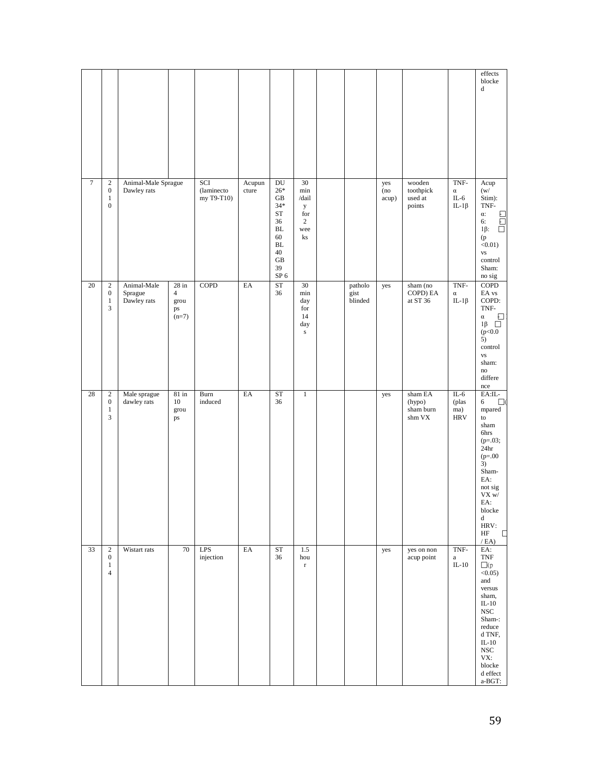|                  |                                                                    |                                       |                                                    |                                  |                 |                                                                                                                 |                                                               |                            |                     |                                          |                                           | effects<br>blocke<br>d                                                                                                                                                                                                               |
|------------------|--------------------------------------------------------------------|---------------------------------------|----------------------------------------------------|----------------------------------|-----------------|-----------------------------------------------------------------------------------------------------------------|---------------------------------------------------------------|----------------------------|---------------------|------------------------------------------|-------------------------------------------|--------------------------------------------------------------------------------------------------------------------------------------------------------------------------------------------------------------------------------------|
| $\boldsymbol{7}$ | $\sqrt{2}$<br>$\boldsymbol{0}$<br>$\mathbf{1}$<br>$\boldsymbol{0}$ | Animal-Male Sprague<br>Dawley rats    |                                                    | SCI<br>(laminecto)<br>my T9-T10) | Acupun<br>cture | DU<br>$26*$<br>GB<br>$34*$<br><b>ST</b><br>36<br><b>BL</b><br>60<br><b>BL</b><br>40<br>GB<br>39<br>${\rm SP}$ 6 | 30<br>min<br>/dail<br>у<br>for<br>$\overline{c}$<br>wee<br>ks |                            | yes<br>(no<br>acup) | wooden<br>toothpick<br>used at<br>points | TNF-<br>$\alpha$<br>$IL-6$<br>$IL-1\beta$ | Acup<br>(w/<br>Stim):<br>$\mbox{TNF-}$<br>$\alpha$ :<br>$\Box$<br>$\overline{\overline{a}}$<br>6:<br>$1\beta$ :<br>(p)<br>$<0.01$ )<br><b>VS</b><br>control<br>Sham:<br>no sig                                                       |
| 20               | $\sqrt{2}$<br>$\mathbf{0}$<br>$\mathbf{1}$<br>3                    | Animal-Male<br>Sprague<br>Dawley rats | $28$ in<br>$\overline{4}$<br>grou<br>ps<br>$(n=7)$ | <b>COPD</b>                      | EA              | ST<br>36                                                                                                        | 30<br>min<br>day<br>for<br>14<br>day<br>${\bf S}$             | patholo<br>gist<br>blinded | yes                 | sham (no<br>COPD) EA<br>at ST 36         | TNF-<br>$\alpha$<br>$IL-1\beta$           | <b>COPD</b><br>EA vs<br>COPD:<br>TNF-<br>$\alpha$<br>Ð<br>$1\beta$ $\Box$<br>(p<0.0<br>5)<br>control<br><b>VS</b><br>sham:<br>$\mathbf{no}$<br>differe<br>nce                                                                        |
| 28               | $\sqrt{2}$<br>$\mathbf{0}$<br>$\mathbf{1}$<br>3                    | Male sprague<br>dawley rats           | $81$ in<br>10<br>grou<br>ps                        | Burn<br>induced                  | EA              | ST<br>36                                                                                                        | $\mathbf{1}$                                                  |                            | yes                 | sham EA<br>(hypo)<br>sham burn<br>shm VX | $IL-6$<br>(plas<br>ma)<br><b>HRV</b>      | EA:IL-<br>6<br>$\square$<br>$\,$ mpared $\,$<br>to<br>sham<br>6hrs<br>$(p=.03;$<br>24 <sub>hr</sub><br>$(p=.00)$<br>3)<br>Sham-<br>EA:<br>not sig<br>${\rm V}{\rm X}$ w/<br>EA:<br>blocke<br>d<br>HRV:<br>$\rm{HF}$<br>$\Box$<br>/EA |
| 33               | $\mathbf{2}$<br>$\mathbf{0}$<br>$\mathbf{1}$<br>$\overline{4}$     | Wistart rats                          | 70                                                 | LPS<br>injection                 | EA              | <b>ST</b><br>36                                                                                                 | 1.5<br>hou<br>$\mathbf r$                                     |                            | yes                 | yes on non<br>acup point                 | TNF-<br>$\rm{a}$<br>$IL-10$               | EA:<br><b>TNF</b><br>$\Box(p$<br>$<0.05$ )<br>and<br>versus<br>sham,<br>$IL-10$<br>$_{\rm NSC}$<br>Sham-:<br>reduce<br>d TNF,<br>$IL-10$<br>$_{\rm NSC}$<br>VX:<br>blocke<br>${\rm d}$ effect<br>a-BGT:                              |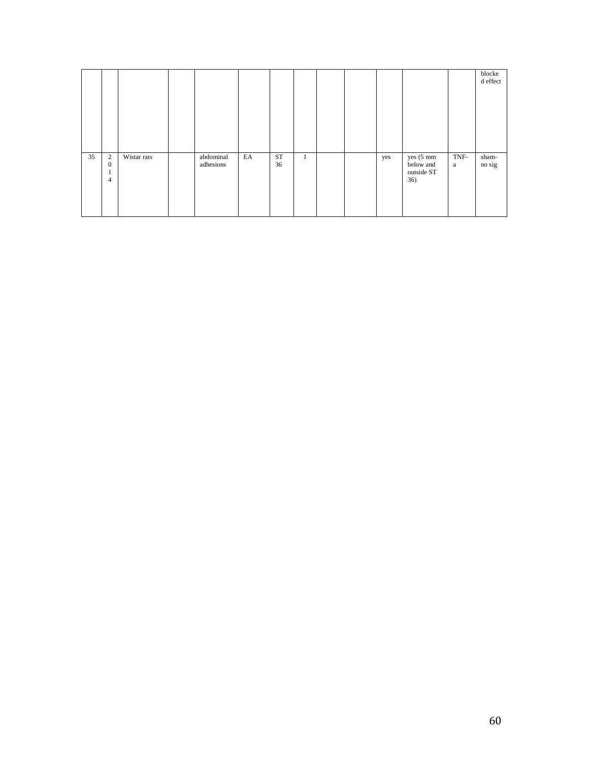|    |                                                  |             |                        |    |          |         |  |     |                                             |           | blocke<br>d effect |
|----|--------------------------------------------------|-------------|------------------------|----|----------|---------|--|-----|---------------------------------------------|-----------|--------------------|
|    |                                                  |             |                        |    |          |         |  |     |                                             |           |                    |
|    |                                                  |             |                        |    |          |         |  |     |                                             |           |                    |
| 35 | 2<br>$\overline{0}$<br>×<br>л.<br>$\overline{4}$ | Wistar rats | abdominal<br>adhesions | EA | ST<br>36 | $\perp$ |  | yes | yes (5 mm<br>below and<br>outside ST<br>36) | TNF-<br>a | sham-<br>no sig    |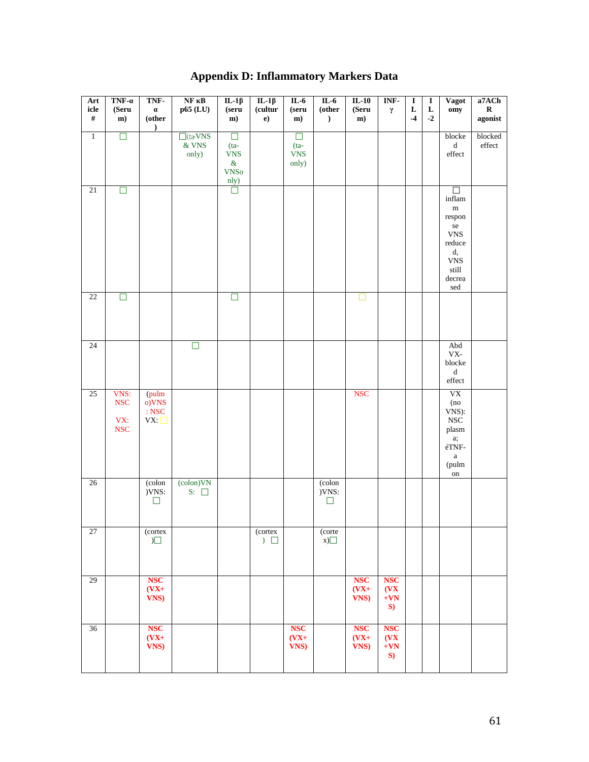# **Appendix D: Inflammatory Markers Data**

| Art<br>icle<br>$\#$ | $TNF-a$<br>(Seru<br>$\mathbf{m}$                           | TNF-<br>$\pmb{\alpha}$<br>(other           | $NF$ $\kappa B$<br>$p65$ (LU)       | IL-1 $\beta$<br>(seru<br>m)                                   | $IL-1\beta$<br>(cultur<br>e) | $IL-6$<br>(s <sub>eru</sub> )<br>m)     | $IL-6$<br>$\rm (other$<br>$\mathcal{L}$ | $IL-10$<br>(Seru)<br>m)      | INF-<br>$\gamma$                              | $\overline{I}$<br>$\mathbf L$<br>$-4$ | $\overline{I}$<br>L<br>$-2$ | <b>Vagot</b><br>omy                                                                                                                                       | a7ACh<br>$\mathbf R$<br>agonist    |
|---------------------|------------------------------------------------------------|--------------------------------------------|-------------------------------------|---------------------------------------------------------------|------------------------------|-----------------------------------------|-----------------------------------------|------------------------------|-----------------------------------------------|---------------------------------------|-----------------------------|-----------------------------------------------------------------------------------------------------------------------------------------------------------|------------------------------------|
| $\overline{1}$      | $\Box$                                                     | $\lambda$                                  | $\Box$ (ta VNS<br>$\&$ VNS<br>only) | $\Box$<br>$(ta-$<br><b>VNS</b><br>$\&$<br><b>VNSo</b><br>nly) |                              | $\Box$<br>$(ta-$<br><b>VNS</b><br>only) |                                         |                              |                                               |                                       |                             | blocke<br>$\mathbf d$<br>$\operatorname{effect}$                                                                                                          | blocked<br>$\operatorname{effect}$ |
| 21                  | $\Box$                                                     |                                            |                                     | Ò                                                             |                              |                                         |                                         |                              |                                               |                                       |                             | П<br>$\inf$ lam<br>${\bf m}$<br>respon<br>$\rm{se}$<br>${\rm VNS}$<br>$\rm reduce$<br>d,<br>${\rm VNS}$<br>$\operatorname{still}$<br>decrea<br>$\rm{sed}$ |                                    |
| 22                  | E                                                          |                                            |                                     | П                                                             |                              |                                         |                                         |                              |                                               |                                       |                             |                                                                                                                                                           |                                    |
| 24                  |                                                            |                                            | $\Box$                              |                                                               |                              |                                         |                                         |                              |                                               |                                       |                             | Abd<br>${\rm VX}\text{-}$<br>blocke<br>$\mathbf d$<br>$\operatorname{effect}$                                                                             |                                    |
| 25                  | VNS:<br>$_{\rm NSC}$<br>VX:<br>$\ensuremath{\mathsf{NSC}}$ | (pulm<br>o)VNS<br>$\,:\mathbf{NSC}$<br>VX: |                                     |                                                               |                              |                                         |                                         | <b>NSC</b>                   |                                               |                                       |                             | ${\rm V}{\rm X}$<br>(no<br>VNS):<br>$_{\rm NSC}$<br>plasm<br>a;<br>$\acute{\text{c}}\text{TNF}$<br>$\mathbf{a}$<br>(pulm<br>on                            |                                    |
| $26\,$              |                                                            | (colon<br>)VNS:<br>$\Box$                  | (colon) VN<br>$S: \Box$             |                                                               |                              |                                         | (colon<br>)VNS:<br>$\Box$               |                              |                                               |                                       |                             |                                                                                                                                                           |                                    |
| 27                  |                                                            | (cortex<br>$\Box$                          |                                     |                                                               | (cortex<br>$)$ $\Box$        |                                         | (corte<br>x)                            |                              |                                               |                                       |                             |                                                                                                                                                           |                                    |
| 29                  |                                                            | <b>NSC</b><br>$(VX+$<br>VNS)               |                                     |                                                               |                              |                                         |                                         | <b>NSC</b><br>$(VX+$<br>VNS) | <b>NSC</b><br>(VX)<br>$+{\bf V}{\bf N}$<br>S) |                                       |                             |                                                                                                                                                           |                                    |
| 36                  |                                                            | <b>NSC</b><br>$(VX+$<br>VNS)               |                                     |                                                               |                              | <b>NSC</b><br>$(VX+$<br>VNS)            |                                         | <b>NSC</b><br>$(VX+$<br>VNS) | <b>NSC</b><br>$($ $V X$<br>$+VN$<br>S)        |                                       |                             |                                                                                                                                                           |                                    |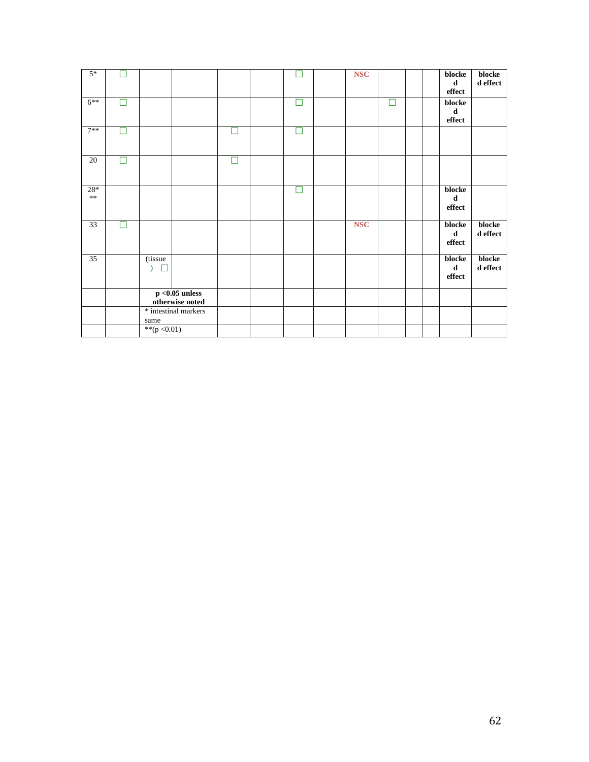| $5*$                |   |                                                 |  |   |   | <b>NSC</b> |   |  | blocke<br>d<br>${\rm effect}$                    | blocke<br>${\bf d}$ effect |
|---------------------|---|-------------------------------------------------|--|---|---|------------|---|--|--------------------------------------------------|----------------------------|
| $6***$              |   |                                                 |  |   | П |            | П |  | ${\bf block}$ e<br>$\mathbf d$<br>${\rm effect}$ |                            |
| $7**$               |   |                                                 |  | ┓ | П |            |   |  |                                                  |                            |
| 20                  | ┓ |                                                 |  | П |   |            |   |  |                                                  |                            |
| $28*$<br>$\ast\ast$ |   |                                                 |  |   | П |            |   |  | blocke<br>$\mathbf d$<br>${\rm effect}$          |                            |
| 33                  | П |                                                 |  |   |   | <b>NSC</b> |   |  | blocke<br>$\mathbf d$<br>${\rm effect}$          | blocke<br>${\bf d}$ effect |
| 35                  |   | (tissue)                                        |  |   |   |            |   |  | blocke<br>${\bf d}$<br>effect                    | blocke<br>$\bf d$ effect   |
|                     |   | $p < 0.05$ unless<br>otherwise noted            |  |   |   |            |   |  |                                                  |                            |
|                     |   | * intestinal markers<br>same<br>** $(p < 0.01)$ |  |   |   |            |   |  |                                                  |                            |